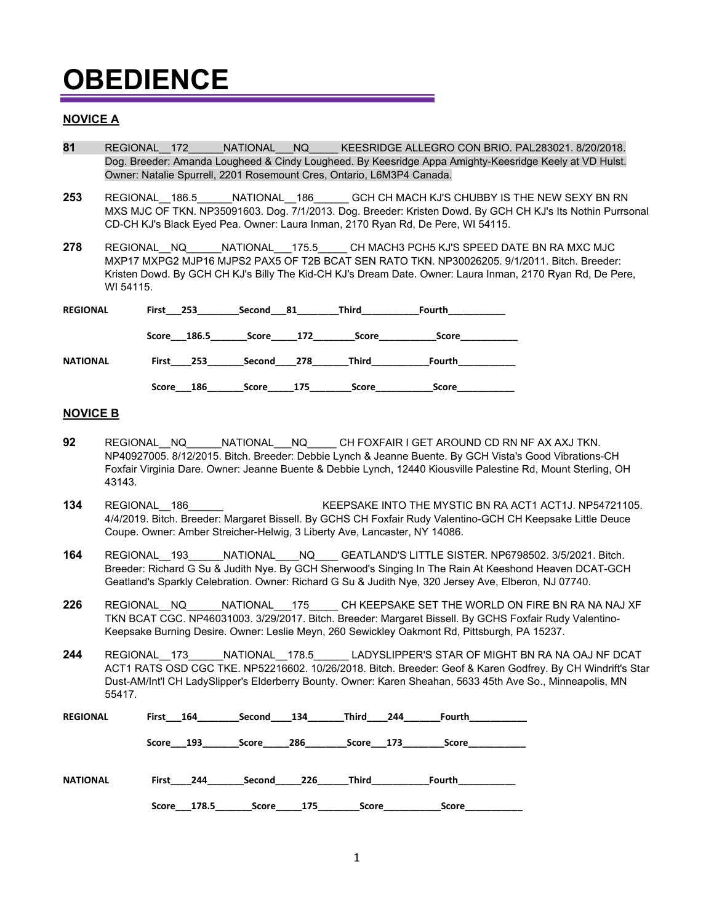### **NOVICE A**

- **81** REGIONAL\_\_172\_\_\_\_\_\_NATIONAL\_\_\_NQ\_\_\_\_\_ KEESRIDGE ALLEGRO CON BRIO. PAL283021. 8/20/2018. Dog. Breeder: Amanda Lougheed & Cindy Lougheed. By Keesridge Appa Amighty-Keesridge Keely at VD Hulst. Owner: Natalie Spurrell, 2201 Rosemount Cres, Ontario, L6M3P4 Canada.
- **253** REGIONAL\_\_186.5\_\_\_\_\_\_NATIONAL\_\_186\_\_\_\_\_\_ GCH CH MACH KJ'S CHUBBY IS THE NEW SEXY BN RN MXS MJC OF TKN. NP35091603. Dog. 7/1/2013. Dog. Breeder: Kristen Dowd. By GCH CH KJ's Its Nothin Purrsonal CD-CH KJ's Black Eyed Pea. Owner: Laura Inman, 2170 Ryan Rd, De Pere, WI 54115.
- 278 REGIONAL NQ NATIONAL 175.5 CH MACH3 PCH5 KJ'S SPEED DATE BN RA MXC MJC MXP17 MXPG2 MJP16 MJPS2 PAX5 OF T2B BCAT SEN RATO TKN. NP30026205. 9/1/2011. Bitch. Breeder: Kristen Dowd. By GCH CH KJ's Billy The Kid-CH KJ's Dream Date. Owner: Laura Inman, 2170 Ryan Rd, De Pere, WI 54115.

| <b>REGIONAL</b> | First 253    | 81<br>Second  | Third | Fourth       |  |
|-----------------|--------------|---------------|-------|--------------|--|
|                 | Score 186.5  | 172<br>Score  | Score | Score        |  |
| <b>NATIONAL</b> | First<br>253 | Second<br>278 | Third | Fourth       |  |
|                 | 186<br>Score | 175<br>Score  | Score | <b>Score</b> |  |

#### **NOVICE B**

- **92** REGIONAL\_\_NQ\_\_\_\_\_\_NATIONAL\_\_\_NQ\_\_\_\_\_ CH FOXFAIR I GET AROUND CD RN NF AX AXJ TKN. NP40927005. 8/12/2015. Bitch. Breeder: Debbie Lynch & Jeanne Buente. By GCH Vista's Good Vibrations-CH Foxfair Virginia Dare. Owner: Jeanne Buente & Debbie Lynch, 12440 Kiousville Palestine Rd, Mount Sterling, OH 43143.
- **134** REGIONAL\_\_186\_\_\_\_\_\_NATIONAL\_\_\_\_\_\_\_\_KEEPSAKE INTO THE MYSTIC BN RA ACT1 ACT1J. NP54721105. 4/4/2019. Bitch. Breeder: Margaret Bissell. By GCHS CH Foxfair Rudy Valentino-GCH CH Keepsake Little Deuce Coupe. Owner: Amber Streicher-Helwig, 3 Liberty Ave, Lancaster, NY 14086.
- **164** REGIONAL\_\_193\_\_\_\_\_\_NATIONAL\_\_\_\_NQ\_\_\_\_ GEATLAND'S LITTLE SISTER. NP6798502. 3/5/2021. Bitch. Breeder: Richard G Su & Judith Nye. By GCH Sherwood's Singing In The Rain At Keeshond Heaven DCAT-GCH Geatland's Sparkly Celebration. Owner: Richard G Su & Judith Nye, 320 Jersey Ave, Elberon, NJ 07740.
- **226** REGIONAL\_\_NQ\_\_\_\_\_\_NATIONAL\_\_\_175\_\_\_\_\_ CH KEEPSAKE SET THE WORLD ON FIRE BN RA NA NAJ XF TKN BCAT CGC. NP46031003. 3/29/2017. Bitch. Breeder: Margaret Bissell. By GCHS Foxfair Rudy Valentino-Keepsake Burning Desire. Owner: Leslie Meyn, 260 Sewickley Oakmont Rd, Pittsburgh, PA 15237.
- **244** REGIONAL\_\_173\_\_\_\_\_\_NATIONAL\_\_178.5\_\_\_\_\_\_ LADYSLIPPER'S STAR OF MIGHT BN RA NA OAJ NF DCAT ACT1 RATS OSD CGC TKE. NP52216602. 10/26/2018. Bitch. Breeder: Geof & Karen Godfrey. By CH Windrift's Star Dust-AM/Int'l CH LadySlipper's Elderberry Bounty. Owner: Karen Sheahan, 5633 45th Ave So., Minneapolis, MN 55417.

| <b>REGIONAL</b> | First 164      | Second | 134 | Third     | 244<br>Fourth |
|-----------------|----------------|--------|-----|-----------|---------------|
|                 | Score 193      | Score  | 286 | Score 173 | Score         |
| <b>NATIONAL</b> | First<br>244   | Second | 226 | Third     | Fourth        |
|                 | 178.5<br>Score | Score  | 175 | Score     | Score         |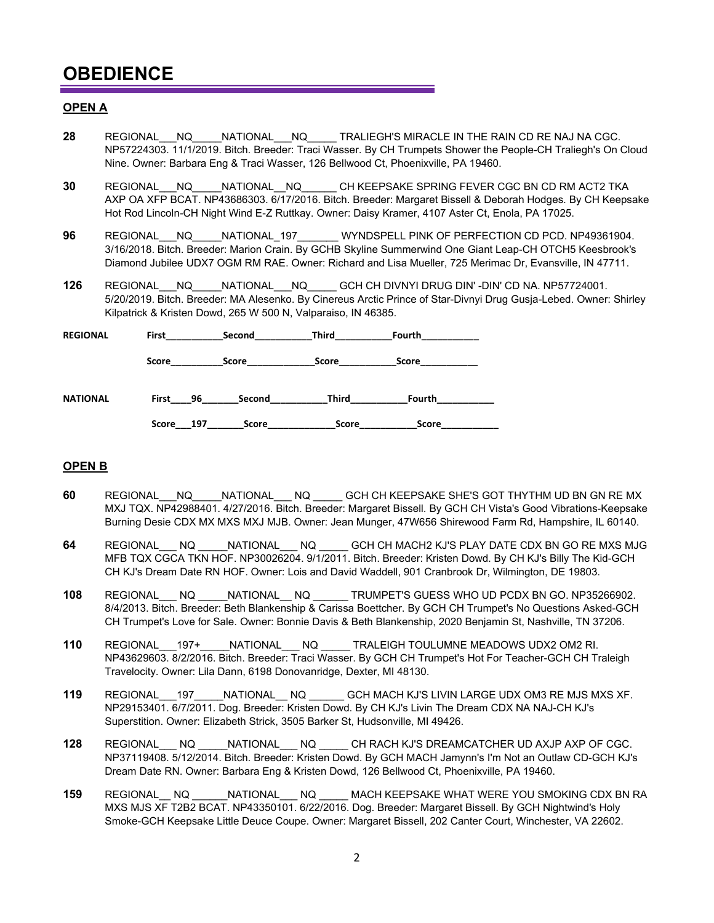#### **OPEN A**

- **28 REGIONAL NQ NATIONAL NQ TRALIEGH'S MIRACLE IN THE RAIN CD RE NAJ NA CGC.** NP57224303. 11/1/2019. Bitch. Breeder: Traci Wasser. By CH Trumpets Shower the People-CH Traliegh's On Cloud Nine. Owner: Barbara Eng & Traci Wasser, 126 Bellwood Ct, Phoenixville, PA 19460.
- **30** REGIONAL\_\_\_NQ\_\_\_\_\_NATIONAL\_\_NQ\_\_\_\_\_\_ CH KEEPSAKE SPRING FEVER CGC BN CD RM ACT2 TKA AXP OA XFP BCAT. NP43686303. 6/17/2016. Bitch. Breeder: Margaret Bissell & Deborah Hodges. By CH Keepsake Hot Rod Lincoln-CH Night Wind E-Z Ruttkay. Owner: Daisy Kramer, 4107 Aster Ct, Enola, PA 17025.
- **96** REGIONAL\_\_\_NQ\_\_\_\_\_NATIONAL\_197\_\_\_\_\_\_\_ WYNDSPELL PINK OF PERFECTION CD PCD. NP49361904. 3/16/2018. Bitch. Breeder: Marion Crain. By GCHB Skyline Summerwind One Giant Leap-CH OTCH5 Keesbrook's Diamond Jubilee UDX7 OGM RM RAE. Owner: Richard and Lisa Mueller, 725 Merimac Dr, Evansville, IN 47711.
- **126** REGIONAL\_\_\_NQ\_\_\_\_\_NATIONAL\_\_\_NQ\_\_\_\_\_ GCH CH DIVNYI DRUG DIN' -DIN' CD NA. NP57724001. 5/20/2019. Bitch. Breeder: MA Alesenko. By Cinereus Arctic Prince of Star-Divnyi Drug Gusja-Lebed. Owner: Shirley Kilpatrick & Kristen Dowd, 265 W 500 N, Valparaiso, IN 46385.

| <b>REGIONAL</b> | First        | Second       | <b>Third</b> | Fourth |  |
|-----------------|--------------|--------------|--------------|--------|--|
|                 | Score        | <b>Score</b> | Score        | Score  |  |
| <b>NATIONAL</b> | First<br>96  | Second       | Third        | Fourth |  |
|                 | Score<br>197 | <b>Score</b> | Score        | Score  |  |

#### **OPEN B**

- **60** REGIONAL\_\_\_NQ\_\_\_\_\_NATIONAL\_\_\_ NQ \_\_\_\_\_ GCH CH KEEPSAKE SHE'S GOT THYTHM UD BN GN RE MX MXJ TQX. NP42988401. 4/27/2016. Bitch. Breeder: Margaret Bissell. By GCH CH Vista's Good Vibrations-Keepsake Burning Desie CDX MX MXS MXJ MJB. Owner: Jean Munger, 47W656 Shirewood Farm Rd, Hampshire, IL 60140.
- **64** REGIONAL\_\_\_ NQ \_\_\_\_\_NATIONAL\_\_\_ NQ \_\_\_\_\_ GCH CH MACH2 KJ'S PLAY DATE CDX BN GO RE MXS MJG MFB TQX CGCA TKN HOF. NP30026204. 9/1/2011. Bitch. Breeder: Kristen Dowd. By CH KJ's Billy The Kid-GCH CH KJ's Dream Date RN HOF. Owner: Lois and David Waddell, 901 Cranbrook Dr, Wilmington, DE 19803.
- **108** REGIONAL\_\_\_ NQ \_\_\_\_\_NATIONAL\_\_ NQ \_\_\_\_\_\_ TRUMPET'S GUESS WHO UD PCDX BN GO. NP35266902. 8/4/2013. Bitch. Breeder: Beth Blankenship & Carissa Boettcher. By GCH CH Trumpet's No Questions Asked-GCH CH Trumpet's Love for Sale. Owner: Bonnie Davis & Beth Blankenship, 2020 Benjamin St, Nashville, TN 37206.
- **110** REGIONAL\_\_\_197+\_\_\_\_\_NATIONAL\_\_\_ NQ \_\_\_\_\_ TRALEIGH TOULUMNE MEADOWS UDX2 OM2 RI. NP43629603. 8/2/2016. Bitch. Breeder: Traci Wasser. By GCH CH Trumpet's Hot For Teacher-GCH CH Traleigh Travelocity. Owner: Lila Dann, 6198 Donovanridge, Dexter, MI 48130.
- **119** REGIONAL\_\_\_197\_\_\_\_\_NATIONAL\_\_ NQ \_\_\_\_\_\_ GCH MACH KJ'S LIVIN LARGE UDX OM3 RE MJS MXS XF. NP29153401. 6/7/2011. Dog. Breeder: Kristen Dowd. By CH KJ's Livin The Dream CDX NA NAJ-CH KJ's Superstition. Owner: Elizabeth Strick, 3505 Barker St, Hudsonville, MI 49426.
- **128** REGIONAL\_\_\_ NQ \_\_\_\_\_NATIONAL\_\_\_ NQ \_\_\_\_\_ CH RACH KJ'S DREAMCATCHER UD AXJP AXP OF CGC. NP37119408. 5/12/2014. Bitch. Breeder: Kristen Dowd. By GCH MACH Jamynn's I'm Not an Outlaw CD-GCH KJ's Dream Date RN. Owner: Barbara Eng & Kristen Dowd, 126 Bellwood Ct, Phoenixville, PA 19460.
- **159** REGIONAL\_\_ NQ \_\_\_\_\_\_NATIONAL\_\_\_ NQ \_\_\_\_\_ MACH KEEPSAKE WHAT WERE YOU SMOKING CDX BN RA MXS MJS XF T2B2 BCAT. NP43350101. 6/22/2016. Dog. Breeder: Margaret Bissell. By GCH Nightwind's Holy Smoke-GCH Keepsake Little Deuce Coupe. Owner: Margaret Bissell, 202 Canter Court, Winchester, VA 22602.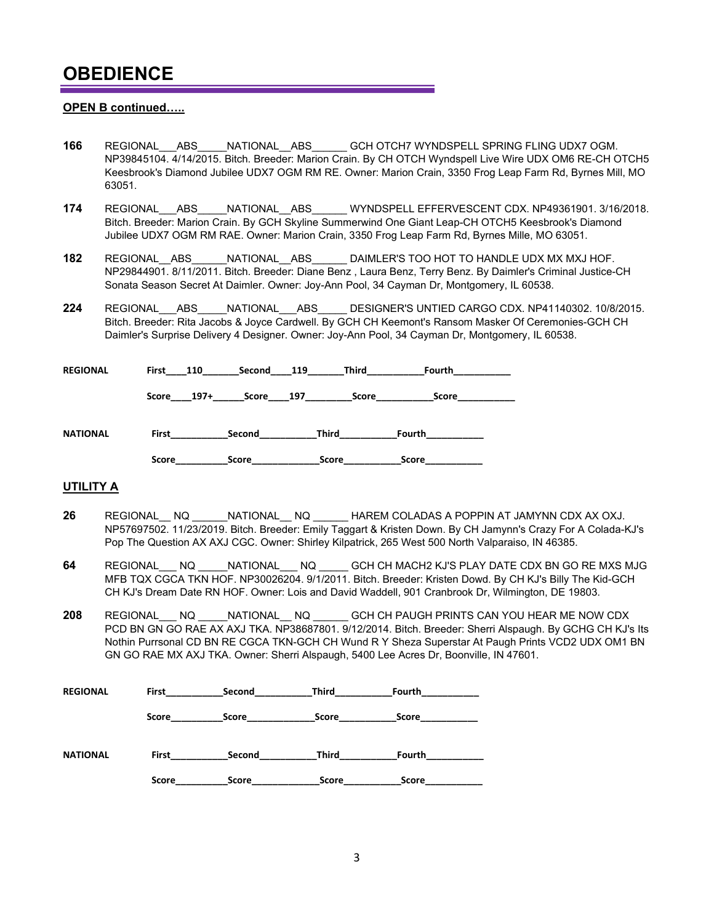#### **OPEN B continued…..**

- **166** REGIONAL\_\_\_ABS\_\_\_\_\_NATIONAL\_\_ABS\_\_\_\_\_\_ GCH OTCH7 WYNDSPELL SPRING FLING UDX7 OGM. NP39845104. 4/14/2015. Bitch. Breeder: Marion Crain. By CH OTCH Wyndspell Live Wire UDX OM6 RE-CH OTCH5 Keesbrook's Diamond Jubilee UDX7 OGM RM RE. Owner: Marion Crain, 3350 Frog Leap Farm Rd, Byrnes Mill, MO 63051.
- **174** REGIONAL\_\_\_ABS\_\_\_\_\_NATIONAL\_\_ABS\_\_\_\_\_\_ WYNDSPELL EFFERVESCENT CDX. NP49361901. 3/16/2018. Bitch. Breeder: Marion Crain. By GCH Skyline Summerwind One Giant Leap-CH OTCH5 Keesbrook's Diamond Jubilee UDX7 OGM RM RAE. Owner: Marion Crain, 3350 Frog Leap Farm Rd, Byrnes Mille, MO 63051.
- **182** REGIONAL ABS NATIONAL ABS DAIMLER'S TOO HOT TO HANDLE UDX MX MXJ HOF. NP29844901. 8/11/2011. Bitch. Breeder: Diane Benz , Laura Benz, Terry Benz. By Daimler's Criminal Justice-CH Sonata Season Secret At Daimler. Owner: Joy-Ann Pool, 34 Cayman Dr, Montgomery, IL 60538.
- **224** REGIONAL\_\_\_ABS\_\_\_\_\_NATIONAL\_\_\_ABS\_\_\_\_\_ DESIGNER'S UNTIED CARGO CDX. NP41140302. 10/8/2015. Bitch. Breeder: Rita Jacobs & Joyce Cardwell. By GCH CH Keemont's Ransom Masker Of Ceremonies-GCH CH Daimler's Surprise Delivery 4 Designer. Owner: Joy-Ann Pool, 34 Cayman Dr, Montgomery, IL 60538.

| <b>REGIONAL</b> | First<br>110    | Second       | 119          | Third<br>Fourth       |  |
|-----------------|-----------------|--------------|--------------|-----------------------|--|
|                 | Score<br>$197+$ | <b>Score</b> | 197          | Score<br><b>Score</b> |  |
| <b>NATIONAL</b> | First           | Second       | Third        | Fourth                |  |
|                 | Score           | <b>Score</b> | <b>Score</b> | <b>Score</b>          |  |

#### **UTILITY A**

- **26** REGIONAL\_\_ NQ \_\_\_\_\_\_NATIONAL\_\_ NQ \_\_\_\_\_\_ HAREM COLADAS A POPPIN AT JAMYNN CDX AX OXJ. NP57697502. 11/23/2019. Bitch. Breeder: Emily Taggart & Kristen Down. By CH Jamynn's Crazy For A Colada-KJ's Pop The Question AX AXJ CGC. Owner: Shirley Kilpatrick, 265 West 500 North Valparaiso, IN 46385.
- **64** REGIONAL\_\_\_ NQ \_\_\_\_\_NATIONAL\_\_\_ NQ \_\_\_\_\_ GCH CH MACH2 KJ'S PLAY DATE CDX BN GO RE MXS MJG MFB TQX CGCA TKN HOF. NP30026204. 9/1/2011. Bitch. Breeder: Kristen Dowd. By CH KJ's Billy The Kid-GCH CH KJ's Dream Date RN HOF. Owner: Lois and David Waddell, 901 Cranbrook Dr, Wilmington, DE 19803.
- **208** REGIONAL\_\_\_ NQ \_\_\_\_\_NATIONAL\_\_ NQ \_\_\_\_\_\_ GCH CH PAUGH PRINTS CAN YOU HEAR ME NOW CDX PCD BN GN GO RAE AX AXJ TKA. NP38687801. 9/12/2014. Bitch. Breeder: Sherri Alspaugh. By GCHG CH KJ's Its Nothin Purrsonal CD BN RE CGCA TKN-GCH CH Wund R Y Sheza Superstar At Paugh Prints VCD2 UDX OM1 BN GN GO RAE MX AXJ TKA. Owner: Sherri Alspaugh, 5400 Lee Acres Dr, Boonville, IN 47601.

| <b>REGIONAL</b> | First | Second | <b>Third</b> | Fourth       |  |
|-----------------|-------|--------|--------------|--------------|--|
|                 | Score | Score  | Score        | <b>Score</b> |  |
| <b>NATIONAL</b> | First | Second | Third        | Fourth       |  |
|                 | Score | Score  | Score        | <b>Score</b> |  |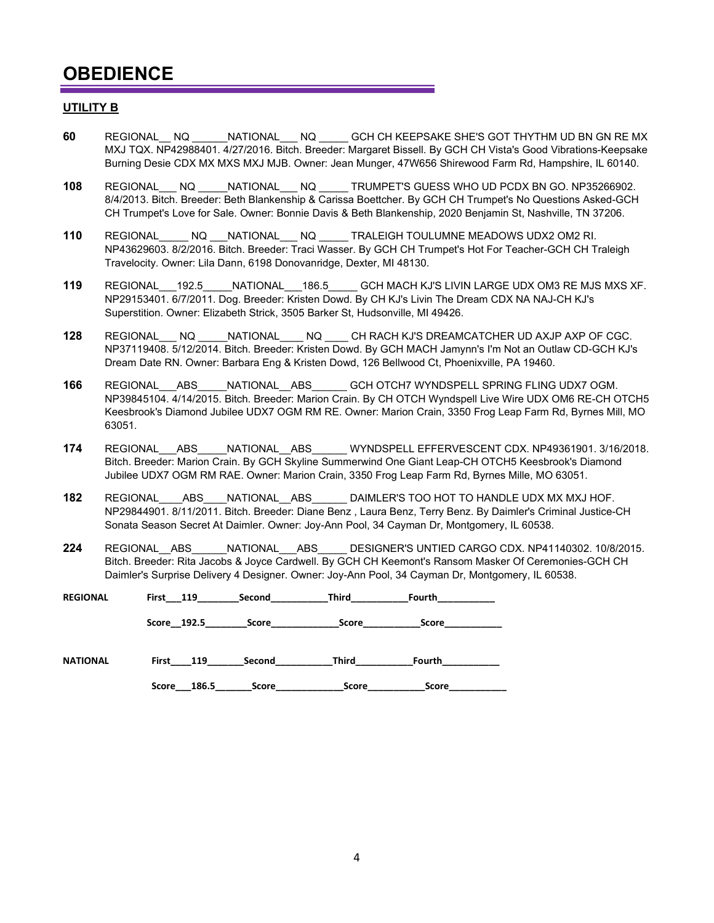#### **UTILITY B**

- **60** REGIONAL\_\_ NQ \_\_\_\_\_\_NATIONAL\_\_\_ NQ \_\_\_\_\_ GCH CH KEEPSAKE SHE'S GOT THYTHM UD BN GN RE MX MXJ TQX. NP42988401. 4/27/2016. Bitch. Breeder: Margaret Bissell. By GCH CH Vista's Good Vibrations-Keepsake Burning Desie CDX MX MXS MXJ MJB. Owner: Jean Munger, 47W656 Shirewood Farm Rd, Hampshire, IL 60140.
- **108** REGIONAL\_\_\_ NQ \_\_\_\_\_NATIONAL\_\_\_ NQ \_\_\_\_\_ TRUMPET'S GUESS WHO UD PCDX BN GO. NP35266902. 8/4/2013. Bitch. Breeder: Beth Blankenship & Carissa Boettcher. By GCH CH Trumpet's No Questions Asked-GCH CH Trumpet's Love for Sale. Owner: Bonnie Davis & Beth Blankenship, 2020 Benjamin St, Nashville, TN 37206.
- **110** REGIONAL\_\_\_\_\_ NQ \_\_\_NATIONAL\_\_\_ NQ \_\_\_\_\_ TRALEIGH TOULUMNE MEADOWS UDX2 OM2 RI. NP43629603. 8/2/2016. Bitch. Breeder: Traci Wasser. By GCH CH Trumpet's Hot For Teacher-GCH CH Traleigh Travelocity. Owner: Lila Dann, 6198 Donovanridge, Dexter, MI 48130.
- **119** REGIONAL\_\_\_192.5\_\_\_\_\_NATIONAL\_\_\_186.5\_\_\_\_\_ GCH MACH KJ'S LIVIN LARGE UDX OM3 RE MJS MXS XF. NP29153401. 6/7/2011. Dog. Breeder: Kristen Dowd. By CH KJ's Livin The Dream CDX NA NAJ-CH KJ's Superstition. Owner: Elizabeth Strick, 3505 Barker St, Hudsonville, MI 49426.
- **128** REGIONAL\_\_\_ NQ \_\_\_\_\_NATIONAL\_\_\_\_ NQ \_\_\_\_ CH RACH KJ'S DREAMCATCHER UD AXJP AXP OF CGC. NP37119408. 5/12/2014. Bitch. Breeder: Kristen Dowd. By GCH MACH Jamynn's I'm Not an Outlaw CD-GCH KJ's Dream Date RN. Owner: Barbara Eng & Kristen Dowd, 126 Bellwood Ct, Phoenixville, PA 19460.
- **166** REGIONAL\_\_\_ABS\_\_\_\_\_NATIONAL\_\_ABS\_\_\_\_\_\_ GCH OTCH7 WYNDSPELL SPRING FLING UDX7 OGM. NP39845104. 4/14/2015. Bitch. Breeder: Marion Crain. By CH OTCH Wyndspell Live Wire UDX OM6 RE-CH OTCH5 Keesbrook's Diamond Jubilee UDX7 OGM RM RE. Owner: Marion Crain, 3350 Frog Leap Farm Rd, Byrnes Mill, MO 63051.
- **174** REGIONAL\_\_\_ABS\_\_\_\_\_NATIONAL\_\_ABS\_\_\_\_\_\_ WYNDSPELL EFFERVESCENT CDX. NP49361901. 3/16/2018. Bitch. Breeder: Marion Crain. By GCH Skyline Summerwind One Giant Leap-CH OTCH5 Keesbrook's Diamond Jubilee UDX7 OGM RM RAE. Owner: Marion Crain, 3350 Frog Leap Farm Rd, Byrnes Mille, MO 63051.
- **182** REGIONAL ABS NATIONAL ABS DAIMLER'S TOO HOT TO HANDLE UDX MX MXJ HOF. NP29844901. 8/11/2011. Bitch. Breeder: Diane Benz , Laura Benz, Terry Benz. By Daimler's Criminal Justice-CH Sonata Season Secret At Daimler. Owner: Joy-Ann Pool, 34 Cayman Dr, Montgomery, IL 60538.
- **224** REGIONAL\_\_ABS\_\_\_\_\_\_NATIONAL\_\_\_ABS\_\_\_\_\_ DESIGNER'S UNTIED CARGO CDX. NP41140302. 10/8/2015. Bitch. Breeder: Rita Jacobs & Joyce Cardwell. By GCH CH Keemont's Ransom Masker Of Ceremonies-GCH CH Daimler's Surprise Delivery 4 Designer. Owner: Joy-Ann Pool, 34 Cayman Dr, Montgomery, IL 60538.

**REGIONAL First\_\_\_119\_\_\_\_\_\_\_\_Second\_\_\_\_\_\_\_\_\_\_\_Third\_\_\_\_\_\_\_\_\_\_\_Fourth\_\_\_\_\_\_\_\_\_\_\_**

**Score\_\_192.5\_\_\_\_\_\_\_\_Score\_\_\_\_\_\_\_\_\_\_\_\_\_Score\_\_\_\_\_\_\_\_\_\_\_Score\_\_\_\_\_\_\_\_\_\_\_**

| <b>NATIONAL</b> | First | 119   | Second | Third        | Fourth |
|-----------------|-------|-------|--------|--------------|--------|
|                 | Score | 186.5 | Score  | <b>Score</b> | Score  |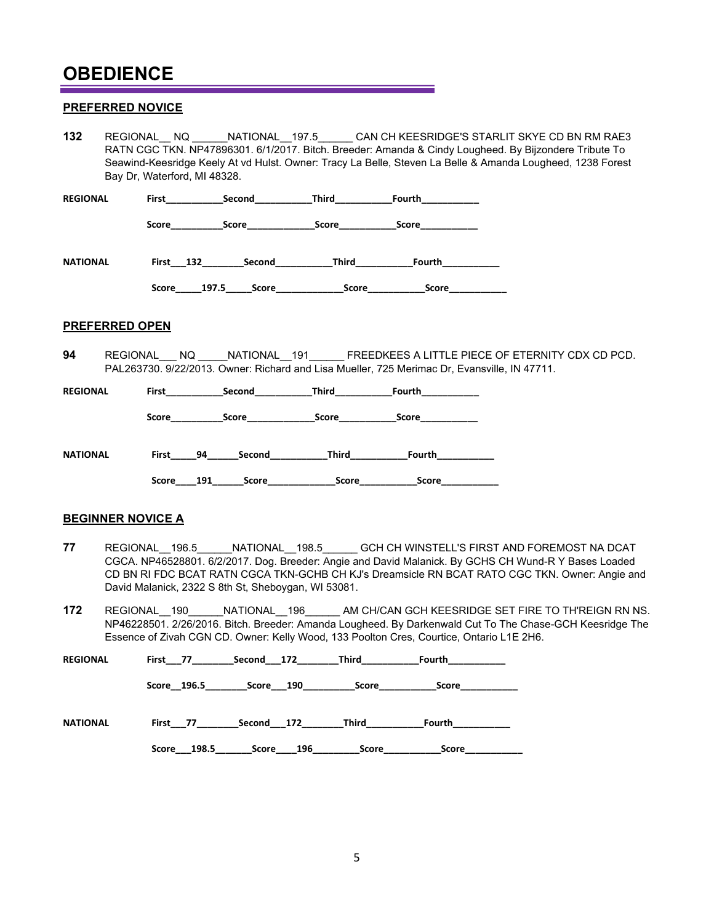#### **PREFERRED NOVICE**

| 132                                                                                                                                                                             | Bay Dr. Waterford, MI 48328. |                                                                                  |  |                     | REGIONAL NQ ______NATIONAL _197.5 ______ CAN CH KEESRIDGE'S STARLIT SKYE CD BN RM RAE3<br>RATN CGC TKN. NP47896301. 6/1/2017. Bitch. Breeder: Amanda & Cindy Lougheed. By Bijzondere Tribute To<br>Seawind-Keesridge Keely At vd Hulst. Owner: Tracy La Belle, Steven La Belle & Amanda Lougheed, 1238 Forest |  |  |
|---------------------------------------------------------------------------------------------------------------------------------------------------------------------------------|------------------------------|----------------------------------------------------------------------------------|--|---------------------|---------------------------------------------------------------------------------------------------------------------------------------------------------------------------------------------------------------------------------------------------------------------------------------------------------------|--|--|
| REGIONAL                                                                                                                                                                        |                              | First _____________Second_______________Third___________________________________ |  |                     |                                                                                                                                                                                                                                                                                                               |  |  |
|                                                                                                                                                                                 |                              | Score Score Score Score Score Score                                              |  |                     |                                                                                                                                                                                                                                                                                                               |  |  |
| NATIONAL                                                                                                                                                                        |                              | First 132 Second Third Fourth                                                    |  |                     |                                                                                                                                                                                                                                                                                                               |  |  |
|                                                                                                                                                                                 |                              | Score 197.5 Score Score Score Score Score Score                                  |  |                     |                                                                                                                                                                                                                                                                                                               |  |  |
| <b>PREFERRED OPEN</b>                                                                                                                                                           |                              |                                                                                  |  |                     |                                                                                                                                                                                                                                                                                                               |  |  |
| 94<br>REGIONAL NQ NATIONAL 191 FREEDKEES A LITTLE PIECE OF ETERNITY CDX CD PCD.<br>PAL263730. 9/22/2013. Owner: Richard and Lisa Mueller, 725 Merimac Dr. Evansville, IN 47711. |                              |                                                                                  |  |                     |                                                                                                                                                                                                                                                                                                               |  |  |
| REGIONAL                                                                                                                                                                        |                              |                                                                                  |  |                     |                                                                                                                                                                                                                                                                                                               |  |  |
|                                                                                                                                                                                 |                              | Score Score Score Score                                                          |  | _Score_____________ |                                                                                                                                                                                                                                                                                                               |  |  |

**NATIONAL First\_\_\_\_\_94\_\_\_\_\_\_Second\_\_\_\_\_\_\_\_\_\_\_Third\_\_\_\_\_\_\_\_\_\_\_Fourth\_\_\_\_\_\_\_\_\_\_\_ Score\_\_\_\_191\_\_\_\_\_\_Score\_\_\_\_\_\_\_\_\_\_\_\_\_Score\_\_\_\_\_\_\_\_\_\_\_Score\_\_\_\_\_\_\_\_\_\_\_**

#### **BEGINNER NOVICE A**

- **77** REGIONAL\_\_196.5\_\_\_\_\_\_NATIONAL\_\_198.5\_\_\_\_\_\_ GCH CH WINSTELL'S FIRST AND FOREMOST NA DCAT CGCA. NP46528801. 6/2/2017. Dog. Breeder: Angie and David Malanick. By GCHS CH Wund-R Y Bases Loaded CD BN RI FDC BCAT RATN CGCA TKN-GCHB CH KJ's Dreamsicle RN BCAT RATO CGC TKN. Owner: Angie and David Malanick, 2322 S 8th St, Sheboygan, WI 53081.
- **172** REGIONAL\_\_190\_\_\_\_\_\_NATIONAL\_\_196\_\_\_\_\_\_ AM CH/CAN GCH KEESRIDGE SET FIRE TO TH'REIGN RN NS. NP46228501. 2/26/2016. Bitch. Breeder: Amanda Lougheed. By Darkenwald Cut To The Chase-GCH Keesridge The Essence of Zivah CGN CD. Owner: Kelly Wood, 133 Poolton Cres, Courtice, Ontario L1E 2H6.

| <b>REGIONAL</b> | First 77       | Second 172   | Third | Fourth |  |
|-----------------|----------------|--------------|-------|--------|--|
|                 | Score 196.5    | Score 190    | Score | Score  |  |
| <b>NATIONAL</b> | First 77       | Second 172   | Third | Fourth |  |
|                 | 198.5<br>Score | 196<br>Score | Score | Score  |  |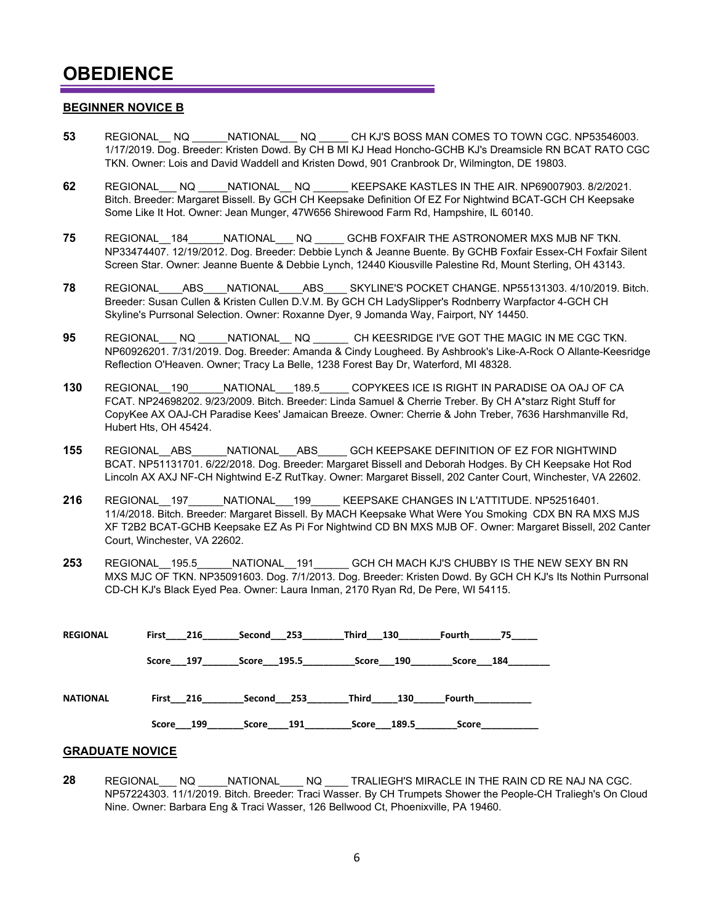#### **BEGINNER NOVICE B**

- **53** REGIONAL NQ NATIONAL NQ CH KJ'S BOSS MAN COMES TO TOWN CGC. NP53546003. 1/17/2019. Dog. Breeder: Kristen Dowd. By CH B MI KJ Head Honcho-GCHB KJ's Dreamsicle RN BCAT RATO CGC TKN. Owner: Lois and David Waddell and Kristen Dowd, 901 Cranbrook Dr, Wilmington, DE 19803.
- **62** REGIONAL\_\_\_ NQ \_\_\_\_\_NATIONAL\_\_ NQ \_\_\_\_\_\_ KEEPSAKE KASTLES IN THE AIR. NP69007903. 8/2/2021. Bitch. Breeder: Margaret Bissell. By GCH CH Keepsake Definition Of EZ For Nightwind BCAT-GCH CH Keepsake Some Like It Hot. Owner: Jean Munger, 47W656 Shirewood Farm Rd, Hampshire, IL 60140.
- **75** REGIONAL\_\_184\_\_\_\_\_\_NATIONAL\_\_\_ NQ \_\_\_\_\_ GCHB FOXFAIR THE ASTRONOMER MXS MJB NF TKN. NP33474407. 12/19/2012. Dog. Breeder: Debbie Lynch & Jeanne Buente. By GCHB Foxfair Essex-CH Foxfair Silent Screen Star. Owner: Jeanne Buente & Debbie Lynch, 12440 Kiousville Palestine Rd, Mount Sterling, OH 43143.
- **78** REGIONAL\_\_\_\_ABS\_\_\_\_NATIONAL\_\_\_\_ABS\_\_\_\_ SKYLINE'S POCKET CHANGE. NP55131303. 4/10/2019. Bitch. Breeder: Susan Cullen & Kristen Cullen D.V.M. By GCH CH LadySlipper's Rodnberry Warpfactor 4-GCH CH Skyline's Purrsonal Selection. Owner: Roxanne Dyer, 9 Jomanda Way, Fairport, NY 14450.
- **95** REGIONAL\_\_\_ NQ \_\_\_\_\_NATIONAL\_\_ NQ \_\_\_\_\_\_ CH KEESRIDGE I'VE GOT THE MAGIC IN ME CGC TKN. NP60926201. 7/31/2019. Dog. Breeder: Amanda & Cindy Lougheed. By Ashbrook's Like-A-Rock O Allante-Keesridge Reflection O'Heaven. Owner; Tracy La Belle, 1238 Forest Bay Dr, Waterford, MI 48328.
- **130** REGIONAL\_\_190\_\_\_\_\_\_NATIONAL\_\_\_189.5\_\_\_\_\_ COPYKEES ICE IS RIGHT IN PARADISE OA OAJ OF CA FCAT. NP24698202. 9/23/2009. Bitch. Breeder: Linda Samuel & Cherrie Treber. By CH A\*starz Right Stuff for CopyKee AX OAJ-CH Paradise Kees' Jamaican Breeze. Owner: Cherrie & John Treber, 7636 Harshmanville Rd, Hubert Hts, OH 45424.
- **155** REGIONAL\_\_ABS\_\_\_\_\_\_NATIONAL\_\_\_ABS\_\_\_\_\_ GCH KEEPSAKE DEFINITION OF EZ FOR NIGHTWIND BCAT. NP51131701. 6/22/2018. Dog. Breeder: Margaret Bissell and Deborah Hodges. By CH Keepsake Hot Rod Lincoln AX AXJ NF-CH Nightwind E-Z RutTkay. Owner: Margaret Bissell, 202 Canter Court, Winchester, VA 22602.
- 216 REGIONAL 197 NATIONAL 199 KEEPSAKE CHANGES IN L'ATTITUDE. NP52516401. 11/4/2018. Bitch. Breeder: Margaret Bissell. By MACH Keepsake What Were You Smoking CDX BN RA MXS MJS XF T2B2 BCAT-GCHB Keepsake EZ As Pi For Nightwind CD BN MXS MJB OF. Owner: Margaret Bissell, 202 Canter Court, Winchester, VA 22602.
- **253** REGIONAL\_\_195.5\_\_\_\_\_\_NATIONAL\_\_191\_\_\_\_\_\_ GCH CH MACH KJ'S CHUBBY IS THE NEW SEXY BN RN MXS MJC OF TKN. NP35091603. Dog. 7/1/2013. Dog. Breeder: Kristen Dowd. By GCH CH KJ's Its Nothin Purrsonal CD-CH KJ's Black Eyed Pea. Owner: Laura Inman, 2170 Ryan Rd, De Pere, WI 54115.

| <b>REGIONAL</b> | First 216 | Second 253  | Third 130 |             | Fourth    | 75 — |
|-----------------|-----------|-------------|-----------|-------------|-----------|------|
|                 | Score 197 | Score 195.5 | Score 190 |             | Score 184 |      |
|                 |           |             |           |             |           |      |
| <b>NATIONAL</b> | First 216 | Second 253  | Third     | 130         | Fourth    |      |
|                 | Score 199 | Score 191   |           | Score 189.5 | Score     |      |

#### **GRADUATE NOVICE**

**28** REGIONAL\_\_\_ NQ \_\_\_\_\_NATIONAL\_\_\_\_ NQ \_\_\_\_ TRALIEGH'S MIRACLE IN THE RAIN CD RE NAJ NA CGC. NP57224303. 11/1/2019. Bitch. Breeder: Traci Wasser. By CH Trumpets Shower the People-CH Traliegh's On Cloud Nine. Owner: Barbara Eng & Traci Wasser, 126 Bellwood Ct, Phoenixville, PA 19460.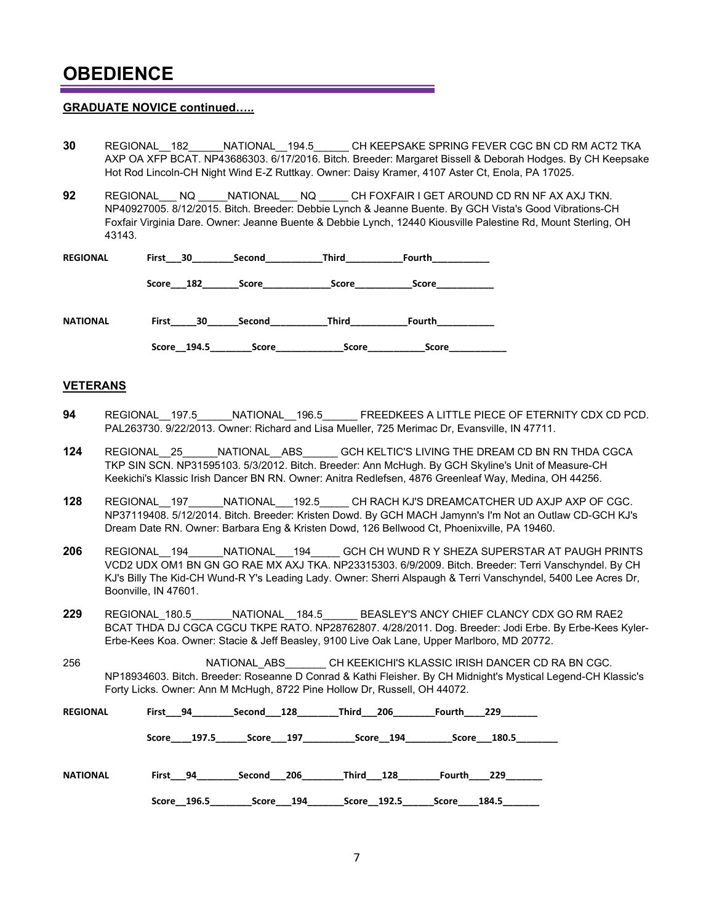#### **GRADUATE NOVICE continued…..**

- **30** REGIONAL\_\_182\_\_\_\_\_\_NATIONAL\_\_194.5\_\_\_\_\_\_ CH KEEPSAKE SPRING FEVER CGC BN CD RM ACT2 TKA AXP OA XFP BCAT. NP43686303. 6/17/2016. Bitch. Breeder: Margaret Bissell & Deborah Hodges. By CH Keepsake Hot Rod Lincoln-CH Night Wind E-Z Ruttkay. Owner: Daisy Kramer, 4107 Aster Ct, Enola, PA 17025.
- **92** REGIONAL\_\_\_ NQ \_\_\_\_\_NATIONAL\_\_\_ NQ \_\_\_\_\_ CH FOXFAIR I GET AROUND CD RN NF AX AXJ TKN. NP40927005. 8/12/2015. Bitch. Breeder: Debbie Lynch & Jeanne Buente. By GCH Vista's Good Vibrations-CH Foxfair Virginia Dare. Owner: Jeanne Buente & Debbie Lynch, 12440 Kiousville Palestine Rd, Mount Sterling, OH 43143.

| <b>REGIONAL</b> | First | 30  | Second       | Third | Fourth |
|-----------------|-------|-----|--------------|-------|--------|
|                 | Score | 182 | <b>Score</b> | Score | Score  |
| <b>NATIONAL</b> | First | 30  | Second       | Third | Fourth |

 **Score\_\_194.5\_\_\_\_\_\_\_\_Score\_\_\_\_\_\_\_\_\_\_\_\_\_Score\_\_\_\_\_\_\_\_\_\_\_Score\_\_\_\_\_\_\_\_\_\_\_**

#### **VETERANS**

- **94** REGIONAL\_\_197.5\_\_\_\_\_\_NATIONAL\_\_196.5\_\_\_\_\_\_ FREEDKEES A LITTLE PIECE OF ETERNITY CDX CD PCD. PAL263730. 9/22/2013. Owner: Richard and Lisa Mueller, 725 Merimac Dr, Evansville, IN 47711.
- **124** REGIONAL\_\_25\_\_\_\_\_\_NATIONAL\_\_ABS\_\_\_\_\_\_ GCH KELTIC'S LIVING THE DREAM CD BN RN THDA CGCA TKP SIN SCN. NP31595103. 5/3/2012. Bitch. Breeder: Ann McHugh. By GCH Skyline's Unit of Measure-CH Keekichi's Klassic Irish Dancer BN RN. Owner: Anitra Redlefsen, 4876 Greenleaf Way, Medina, OH 44256.
- **128** REGIONAL\_\_197\_\_\_\_\_\_NATIONAL\_\_\_192.5\_\_\_\_\_ CH RACH KJ'S DREAMCATCHER UD AXJP AXP OF CGC. NP37119408. 5/12/2014. Bitch. Breeder: Kristen Dowd. By GCH MACH Jamynn's I'm Not an Outlaw CD-GCH KJ's Dream Date RN. Owner: Barbara Eng & Kristen Dowd, 126 Bellwood Ct, Phoenixville, PA 19460.
- **206** REGIONAL\_\_194\_\_\_\_\_\_NATIONAL\_\_\_194\_\_\_\_\_ GCH CH WUND R Y SHEZA SUPERSTAR AT PAUGH PRINTS VCD2 UDX OM1 BN GN GO RAE MX AXJ TKA. NP23315303. 6/9/2009. Bitch. Breeder: Terri Vanschyndel. By CH KJ's Billy The Kid-CH Wund-R Y's Leading Lady. Owner: Sherri Alspaugh & Terri Vanschyndel, 5400 Lee Acres Dr, Boonville, IN 47601.
- **229** REGIONAL\_180.5\_\_\_\_\_\_\_NATIONAL\_\_184.5\_\_\_\_\_\_ BEASLEY'S ANCY CHIEF CLANCY CDX GO RM RAE2 BCAT THDA DJ CGCA CGCU TKPE RATO. NP28762807. 4/28/2011. Dog. Breeder: Jodi Erbe. By Erbe-Kees Kyler-Erbe-Kees Koa. Owner: Stacie & Jeff Beasley, 9100 Live Oak Lane, Upper Marlboro, MD 20772.
- 256 **REGIONAL\_ABS** CH KEEKICHI'S KLASSIC IRISH DANCER CD RA BN CGC. NP18934603. Bitch. Breeder: Roseanne D Conrad & Kathi Fleisher. By CH Midnight's Mystical Legend-CH Klassic's Forty Licks. Owner: Ann M McHugh, 8722 Pine Hollow Dr, Russell, OH 44072.

| <b>REGIONAL</b> | First 94    | Second 128 | Third 206   | Fourth 229     |
|-----------------|-------------|------------|-------------|----------------|
|                 | Score 197.5 | Score 197  | Score 194   | Score 180.5    |
| <b>NATIONAL</b> | First 94    | Second 206 | Third 128   | -229<br>Fourth |
|                 | Score 196.5 | Score 194  | Score 192.5 | Score<br>184.5 |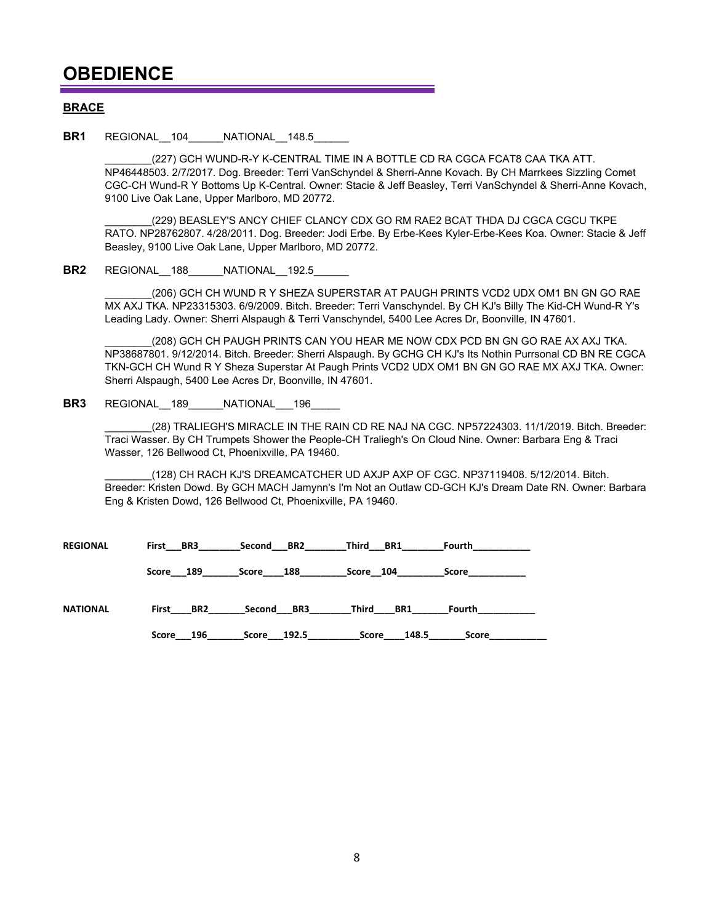#### **BRACE**

**BR1** REGIONAL 104 NATIONAL 148.5

(227) GCH WUND-R-Y K-CENTRAL TIME IN A BOTTLE CD RA CGCA FCAT8 CAA TKA ATT. NP46448503. 2/7/2017. Dog. Breeder: Terri VanSchyndel & Sherri-Anne Kovach. By CH Marrkees Sizzling Comet CGC-CH Wund-R Y Bottoms Up K-Central. Owner: Stacie & Jeff Beasley, Terri VanSchyndel & Sherri-Anne Kovach, 9100 Live Oak Lane, Upper Marlboro, MD 20772.

(229) BEASLEY'S ANCY CHIEF CLANCY CDX GO RM RAE2 BCAT THDA DJ CGCA CGCU TKPE RATO. NP28762807. 4/28/2011. Dog. Breeder: Jodi Erbe. By Erbe-Kees Kyler-Erbe-Kees Koa. Owner: Stacie & Jeff Beasley, 9100 Live Oak Lane, Upper Marlboro, MD 20772.

**BR2** REGIONAL 188 NATIONAL 192.5

(206) GCH CH WUND R Y SHEZA SUPERSTAR AT PAUGH PRINTS VCD2 UDX OM1 BN GN GO RAE MX AXJ TKA. NP23315303. 6/9/2009. Bitch. Breeder: Terri Vanschyndel. By CH KJ's Billy The Kid-CH Wund-R Y's Leading Lady. Owner: Sherri Alspaugh & Terri Vanschyndel, 5400 Lee Acres Dr, Boonville, IN 47601.

(208) GCH CH PAUGH PRINTS CAN YOU HEAR ME NOW CDX PCD BN GN GO RAE AX AXJ TKA. NP38687801. 9/12/2014. Bitch. Breeder: Sherri Alspaugh. By GCHG CH KJ's Its Nothin Purrsonal CD BN RE CGCA TKN-GCH CH Wund R Y Sheza Superstar At Paugh Prints VCD2 UDX OM1 BN GN GO RAE MX AXJ TKA. Owner: Sherri Alspaugh, 5400 Lee Acres Dr, Boonville, IN 47601.

**BR3** REGIONAL 189 NATIONAL 196

(28) TRALIEGH'S MIRACLE IN THE RAIN CD RE NAJ NA CGC. NP57224303. 11/1/2019. Bitch. Breeder: Traci Wasser. By CH Trumpets Shower the People-CH Traliegh's On Cloud Nine. Owner: Barbara Eng & Traci Wasser, 126 Bellwood Ct, Phoenixville, PA 19460.

\_\_\_\_\_\_\_\_(128) CH RACH KJ'S DREAMCATCHER UD AXJP AXP OF CGC. NP37119408. 5/12/2014. Bitch. Breeder: Kristen Dowd. By GCH MACH Jamynn's I'm Not an Outlaw CD-GCH KJ's Dream Date RN. Owner: Barbara Eng & Kristen Dowd, 126 Bellwood Ct, Phoenixville, PA 19460.

| <b>REGIONAL</b> | First BR3    | Second BR2   | Third<br>BR1   | Fourth       |
|-----------------|--------------|--------------|----------------|--------------|
|                 | Score 189    | 188<br>Score | Score 104      | <b>Score</b> |
| <b>NATIONAL</b> | BR2<br>First | Second BR3   | BR1<br>Third   | Fourth       |
|                 | 196<br>Score | Score 192.5  | 148.5<br>Score | Score        |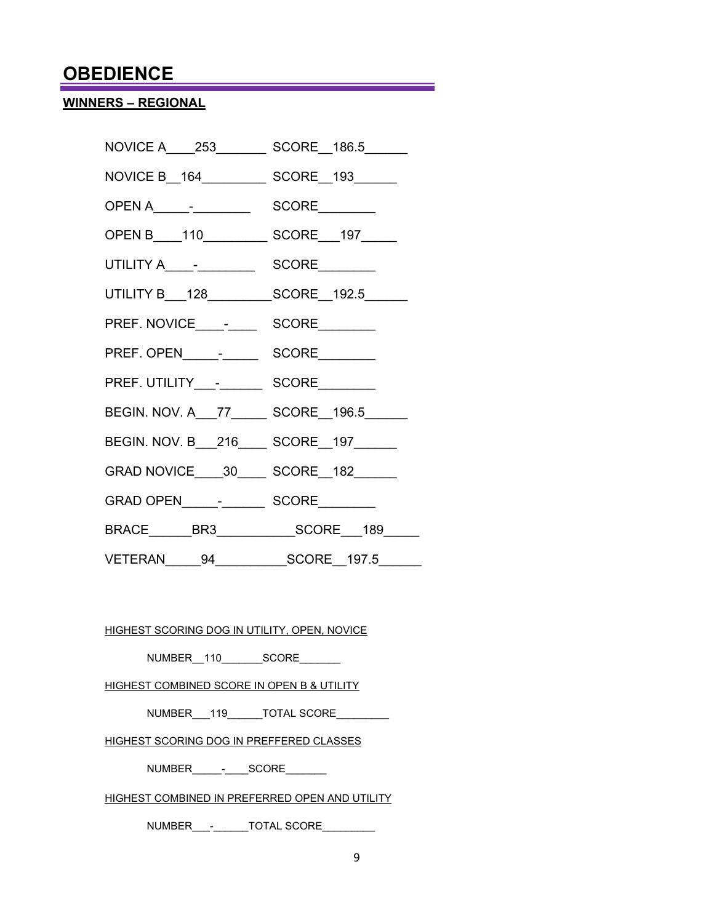### **WINNERS – REGIONAL**

| NOVICE A____253_________ SCORE__186.5______       |  |
|---------------------------------------------------|--|
|                                                   |  |
|                                                   |  |
| OPEN B____110____________ SCORE___197______       |  |
|                                                   |  |
| UTILITY B___128___________SCORE__192.5______      |  |
|                                                   |  |
|                                                   |  |
|                                                   |  |
| BEGIN. NOV. A__77________ SCORE__196.5______      |  |
| BEGIN. NOV. B___216_____ SCORE__197______         |  |
| GRAD NOVICE _____ 30_______ SCORE ___ 182________ |  |
|                                                   |  |
|                                                   |  |
| VETERAN 94 SCORE 197.5                            |  |

HIGHEST SCORING DOG IN UTILITY, OPEN, NOVICE

NUMBER\_\_110\_\_\_\_\_\_\_SCORE\_\_\_\_\_\_\_

HIGHEST COMBINED SCORE IN OPEN B & UTILITY

NUMBER 119 TOTAL SCORE

HIGHEST SCORING DOG IN PREFFERED CLASSES

NUMBER\_\_\_\_\_-\_\_\_\_SCORE\_\_\_\_\_\_\_

HIGHEST COMBINED IN PREFERRED OPEN AND UTILITY

NUMBER\_\_\_-\_\_\_\_\_\_TOTAL SCORE\_\_\_\_\_\_\_\_\_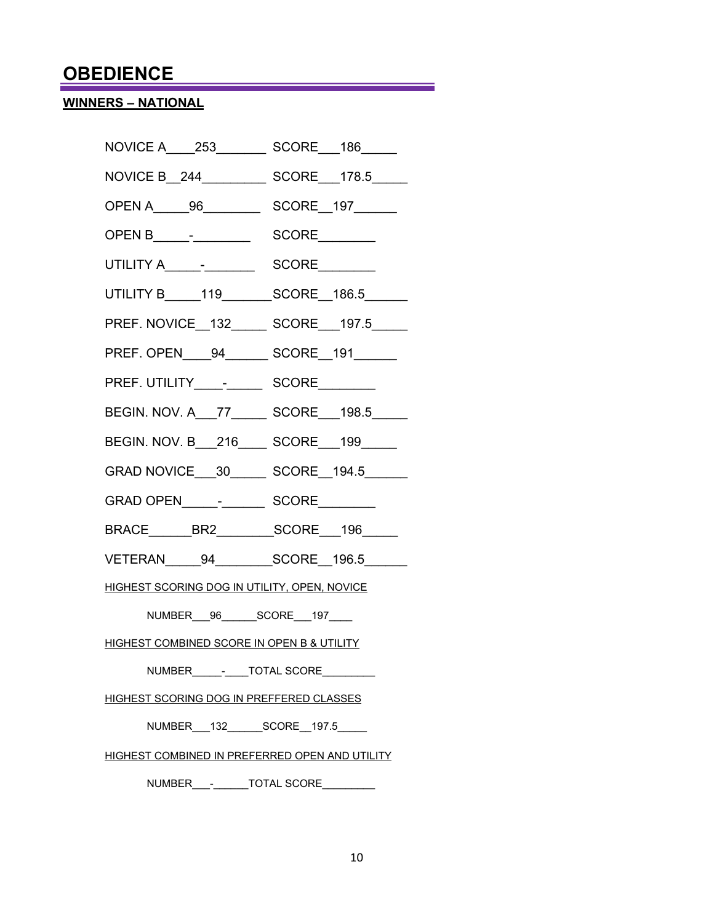## **WINNERS – NATIONAL**

| NOVICE A_____253________<br>SCORE___186_____        |
|-----------------------------------------------------|
| NOVICE B__244_____________ SCORE___178.5______      |
|                                                     |
|                                                     |
|                                                     |
| UTILITY B______119________SCORE__186.5______        |
| PREF. NOVICE_132_______ SCORE___197.5_____          |
| PREF. OPEN____94________ SCORE__191_______          |
|                                                     |
| BEGIN. NOV. A__77________ SCORE___198.5_____        |
| BEGIN. NOV. B__216____ SCORE__199____               |
| GRAD NOVICE 30 SCORE 194.5                          |
|                                                     |
| BRACE________BR2___________SCORE___196______        |
| VETERAN 94 SCORE 196.5                              |
| <b>HIGHEST SCORING DOG IN UTILITY, OPEN, NOVICE</b> |
|                                                     |

<u> 1989 - Johann Barn, mars eta bainar eta industrial eta baina eta baina eta baina eta baina eta baina eta bain</u>

NUMBER\_\_\_96\_\_\_\_\_\_SCORE\_\_\_197\_\_\_\_

HIGHEST COMBINED SCORE IN OPEN B & UTILITY

NUMBER\_\_\_\_\_\_<sup>\_</sup>\_\_\_\_TOTAL SCORE\_\_\_\_\_\_\_\_\_

HIGHEST SCORING DOG IN PREFFERED CLASSES

NUMBER\_\_\_132\_\_\_\_\_\_SCORE\_\_197.5\_\_\_\_\_

HIGHEST COMBINED IN PREFERRED OPEN AND UTILITY

NUMBER - TOTAL SCORE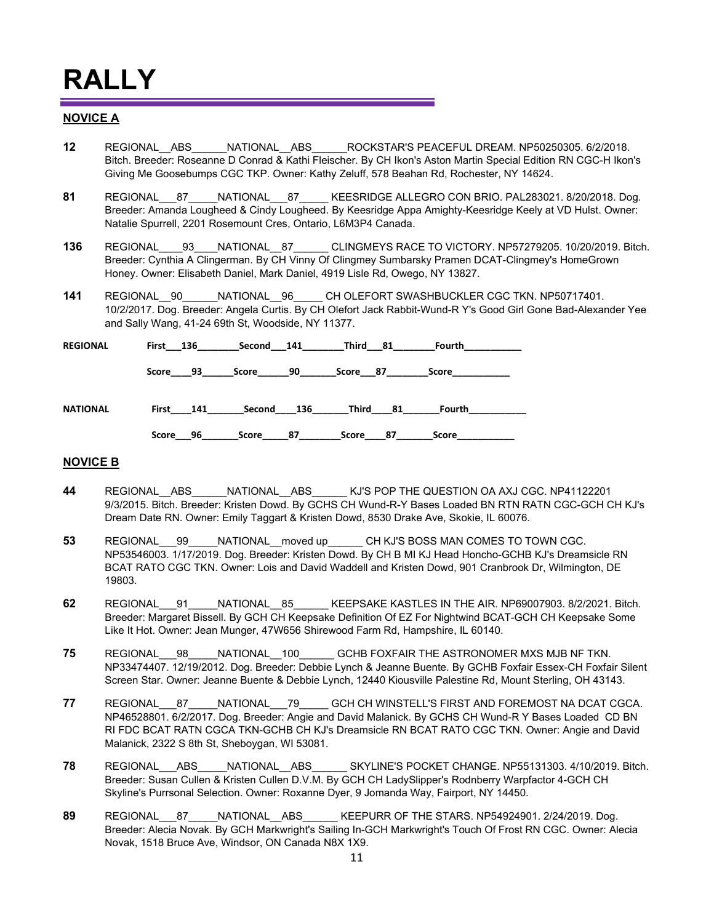#### **NOVICE A**

- **12** REGIONAL\_\_ABS\_\_\_\_\_\_NATIONAL\_\_ABS\_\_\_\_\_\_ROCKSTAR'S PEACEFUL DREAM. NP50250305. 6/2/2018. Bitch. Breeder: Roseanne D Conrad & Kathi Fleischer. By CH Ikon's Aston Martin Special Edition RN CGC-H Ikon's Giving Me Goosebumps CGC TKP. Owner: Kathy Zeluff, 578 Beahan Rd, Rochester, NY 14624.
- **81** REGIONAL\_\_\_87\_\_\_\_\_NATIONAL\_\_\_87\_\_\_\_\_ KEESRIDGE ALLEGRO CON BRIO. PAL283021. 8/20/2018. Dog. Breeder: Amanda Lougheed & Cindy Lougheed. By Keesridge Appa Amighty-Keesridge Keely at VD Hulst. Owner: Natalie Spurrell, 2201 Rosemount Cres, Ontario, L6M3P4 Canada.
- 136 REGIONAL 93 NATIONAL 87\_\_\_\_\_\_ CLINGMEYS RACE TO VICTORY. NP57279205. 10/20/2019. Bitch. Breeder: Cynthia A Clingerman. By CH Vinny Of Clingmey Sumbarsky Pramen DCAT-Clingmey's HomeGrown Honey. Owner: Elisabeth Daniel, Mark Daniel, 4919 Lisle Rd, Owego, NY 13827.
- **141** REGIONAL\_\_90\_\_\_\_\_\_NATIONAL\_\_96\_\_\_\_\_ CH OLEFORT SWASHBUCKLER CGC TKN. NP50717401. 10/2/2017. Dog. Breeder: Angela Curtis. By CH Olefort Jack Rabbit-Wund-R Y's Good Girl Gone Bad-Alexander Yee and Sally Wang, 41-24 69th St, Woodside, NY 11377.

| <b>REGIONAL</b> | First 136    | Second 141  | Third<br>81  | Fourth       |  |
|-----------------|--------------|-------------|--------------|--------------|--|
|                 | 93<br>Score  | 90<br>Score | Score 87     | <b>Score</b> |  |
| NATIONAL        | First<br>141 | Second 136  | Third<br>-81 | Fourth       |  |
|                 | 96<br>Score  | 87<br>Score | 87<br>Score  | <b>Score</b> |  |

#### **NOVICE B**

- **44** REGIONAL\_\_ABS\_\_\_\_\_\_NATIONAL\_\_ABS\_\_\_\_\_\_ KJ'S POP THE QUESTION OA AXJ CGC. NP41122201 9/3/2015. Bitch. Breeder: Kristen Dowd. By GCHS CH Wund-R-Y Bases Loaded BN RTN RATN CGC-GCH CH KJ's Dream Date RN. Owner: Emily Taggart & Kristen Dowd, 8530 Drake Ave, Skokie, IL 60076.
- **53** REGIONAL\_\_\_99\_\_\_\_\_NATIONAL\_\_moved up\_\_\_\_\_\_ CH KJ'S BOSS MAN COMES TO TOWN CGC. NP53546003. 1/17/2019. Dog. Breeder: Kristen Dowd. By CH B MI KJ Head Honcho-GCHB KJ's Dreamsicle RN BCAT RATO CGC TKN. Owner: Lois and David Waddell and Kristen Dowd, 901 Cranbrook Dr, Wilmington, DE 19803.
- **62** REGIONAL\_\_\_91\_\_\_\_\_NATIONAL\_\_85\_\_\_\_\_\_ KEEPSAKE KASTLES IN THE AIR. NP69007903. 8/2/2021. Bitch. Breeder: Margaret Bissell. By GCH CH Keepsake Definition Of EZ For Nightwind BCAT-GCH CH Keepsake Some Like It Hot. Owner: Jean Munger, 47W656 Shirewood Farm Rd, Hampshire, IL 60140.
- **75** REGIONAL\_\_\_98\_\_\_\_\_NATIONAL\_\_100\_\_\_\_\_\_ GCHB FOXFAIR THE ASTRONOMER MXS MJB NF TKN. NP33474407. 12/19/2012. Dog. Breeder: Debbie Lynch & Jeanne Buente. By GCHB Foxfair Essex-CH Foxfair Silent Screen Star. Owner: Jeanne Buente & Debbie Lynch, 12440 Kiousville Palestine Rd, Mount Sterling, OH 43143.
- **77** REGIONAL\_\_\_87\_\_\_\_\_NATIONAL\_\_\_79\_\_\_\_\_ GCH CH WINSTELL'S FIRST AND FOREMOST NA DCAT CGCA. NP46528801. 6/2/2017. Dog. Breeder: Angie and David Malanick. By GCHS CH Wund-R Y Bases Loaded CD BN RI FDC BCAT RATN CGCA TKN-GCHB CH KJ's Dreamsicle RN BCAT RATO CGC TKN. Owner: Angie and David Malanick, 2322 S 8th St, Sheboygan, WI 53081.
- **78** REGIONAL\_\_\_ABS\_\_\_\_\_NATIONAL\_\_ABS\_\_\_\_\_\_ SKYLINE'S POCKET CHANGE. NP55131303. 4/10/2019. Bitch. Breeder: Susan Cullen & Kristen Cullen D.V.M. By GCH CH LadySlipper's Rodnberry Warpfactor 4-GCH CH Skyline's Purrsonal Selection. Owner: Roxanne Dyer, 9 Jomanda Way, Fairport, NY 14450.
- **89** REGIONAL\_\_\_87\_\_\_\_\_NATIONAL\_\_ABS\_\_\_\_\_\_ KEEPURR OF THE STARS. NP54924901. 2/24/2019. Dog. Breeder: Alecia Novak. By GCH Markwright's Sailing In-GCH Markwright's Touch Of Frost RN CGC. Owner: Alecia Novak, 1518 Bruce Ave, Windsor, ON Canada N8X 1X9.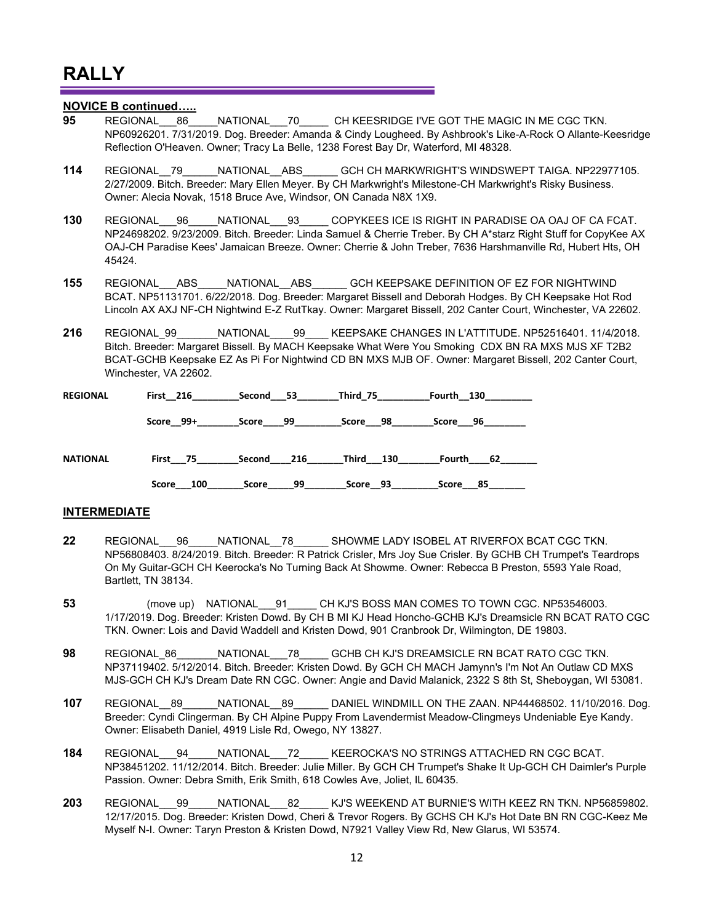#### **NOVICE B continued…..**

- **95** REGIONAL\_\_\_86\_\_\_\_\_NATIONAL\_\_\_70\_\_\_\_\_ CH KEESRIDGE I'VE GOT THE MAGIC IN ME CGC TKN. NP60926201. 7/31/2019. Dog. Breeder: Amanda & Cindy Lougheed. By Ashbrook's Like-A-Rock O Allante-Keesridge Reflection O'Heaven. Owner; Tracy La Belle, 1238 Forest Bay Dr, Waterford, MI 48328.
- **114** REGIONAL\_\_79\_\_\_\_\_\_NATIONAL\_\_ABS\_\_\_\_\_\_ GCH CH MARKWRIGHT'S WINDSWEPT TAIGA. NP22977105. 2/27/2009. Bitch. Breeder: Mary Ellen Meyer. By CH Markwright's Milestone-CH Markwright's Risky Business. Owner: Alecia Novak, 1518 Bruce Ave, Windsor, ON Canada N8X 1X9.
- **130** REGIONAL\_\_\_96\_\_\_\_\_NATIONAL\_\_\_93\_\_\_\_\_ COPYKEES ICE IS RIGHT IN PARADISE OA OAJ OF CA FCAT. NP24698202. 9/23/2009. Bitch. Breeder: Linda Samuel & Cherrie Treber. By CH A\*starz Right Stuff for CopyKee AX OAJ-CH Paradise Kees' Jamaican Breeze. Owner: Cherrie & John Treber, 7636 Harshmanville Rd, Hubert Hts, OH 45424.
- **155** REGIONAL\_\_\_ABS\_\_\_\_\_NATIONAL\_\_ABS\_\_\_\_\_\_ GCH KEEPSAKE DEFINITION OF EZ FOR NIGHTWIND BCAT. NP51131701. 6/22/2018. Dog. Breeder: Margaret Bissell and Deborah Hodges. By CH Keepsake Hot Rod Lincoln AX AXJ NF-CH Nightwind E-Z RutTkay. Owner: Margaret Bissell, 202 Canter Court, Winchester, VA 22602.
- **216** REGIONAL\_99\_\_\_\_\_\_\_NATIONAL\_\_\_\_99\_\_\_\_ KEEPSAKE CHANGES IN L'ATTITUDE. NP52516401. 11/4/2018. Bitch. Breeder: Margaret Bissell. By MACH Keepsake What Were You Smoking CDX BN RA MXS MJS XF T2B2 BCAT-GCHB Keepsake EZ As Pi For Nightwind CD BN MXS MJB OF. Owner: Margaret Bissell, 202 Canter Court, Winchester, VA 22602.

| <b>REGIONAL</b> | First 216    | Second 53   | Third 75  | Fourth 130   |  |
|-----------------|--------------|-------------|-----------|--------------|--|
|                 | Score 99+    | Score 99    | Score 98  | Score 96     |  |
| <b>NATIONAL</b> | First 75     | Second 216  | Third 130 | 62<br>Fourth |  |
|                 | 100<br>Score | 99<br>Score | Score 93  | Score 85     |  |

#### **INTERMEDIATE**

- **22** REGIONAL\_\_\_96\_\_\_\_\_NATIONAL\_\_78\_\_\_\_\_\_ SHOWME LADY ISOBEL AT RIVERFOX BCAT CGC TKN. NP56808403. 8/24/2019. Bitch. Breeder: R Patrick Crisler, Mrs Joy Sue Crisler. By GCHB CH Trumpet's Teardrops On My Guitar-GCH CH Keerocka's No Turning Back At Showme. Owner: Rebecca B Preston, 5593 Yale Road, Bartlett, TN 38134.
- **53** (move up) NATIONAL 91 CH KJ'S BOSS MAN COMES TO TOWN CGC. NP53546003. 1/17/2019. Dog. Breeder: Kristen Dowd. By CH B MI KJ Head Honcho-GCHB KJ's Dreamsicle RN BCAT RATO CGC TKN. Owner: Lois and David Waddell and Kristen Dowd, 901 Cranbrook Dr, Wilmington, DE 19803.
- **98** REGIONAL 86 NATIONAL 78 GCHB CH KJ'S DREAMSICLE RN BCAT RATO CGC TKN. NP37119402. 5/12/2014. Bitch. Breeder: Kristen Dowd. By GCH CH MACH Jamynn's I'm Not An Outlaw CD MXS MJS-GCH CH KJ's Dream Date RN CGC. Owner: Angie and David Malanick, 2322 S 8th St, Sheboygan, WI 53081.
- **107** REGIONAL\_\_89\_\_\_\_\_\_NATIONAL\_\_89\_\_\_\_\_\_ DANIEL WINDMILL ON THE ZAAN. NP44468502. 11/10/2016. Dog. Breeder: Cyndi Clingerman. By CH Alpine Puppy From Lavendermist Meadow-Clingmeys Undeniable Eye Kandy. Owner: Elisabeth Daniel, 4919 Lisle Rd, Owego, NY 13827.
- **184** REGIONAL\_\_\_94\_\_\_\_\_NATIONAL\_\_\_72\_\_\_\_\_ KEEROCKA'S NO STRINGS ATTACHED RN CGC BCAT. NP38451202. 11/12/2014. Bitch. Breeder: Julie Miller. By GCH CH Trumpet's Shake It Up-GCH CH Daimler's Purple Passion. Owner: Debra Smith, Erik Smith, 618 Cowles Ave, Joliet, IL 60435.
- **203** REGIONAL\_\_\_99\_\_\_\_\_NATIONAL\_\_\_82\_\_\_\_\_ KJ'S WEEKEND AT BURNIE'S WITH KEEZ RN TKN. NP56859802. 12/17/2015. Dog. Breeder: Kristen Dowd, Cheri & Trevor Rogers. By GCHS CH KJ's Hot Date BN RN CGC-Keez Me Myself N-I. Owner: Taryn Preston & Kristen Dowd, N7921 Valley View Rd, New Glarus, WI 53574.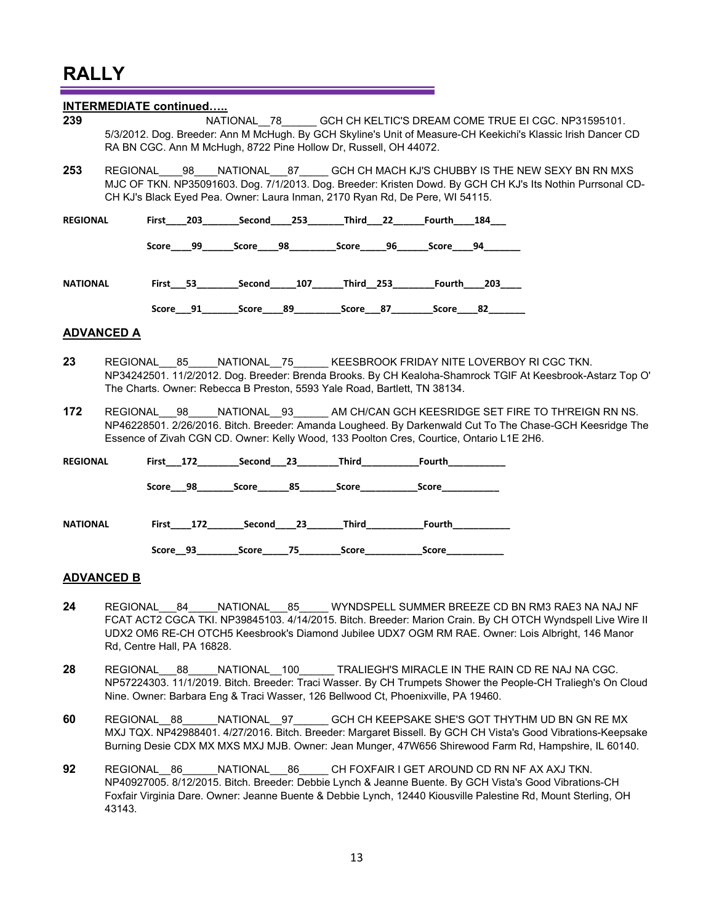Rd, Centre Hall, PA 16828.

|                 | <b>INTERMEDIATE continued</b> |  |                                                                                                                                                                                                                                                                                             |  |  |  |  |
|-----------------|-------------------------------|--|---------------------------------------------------------------------------------------------------------------------------------------------------------------------------------------------------------------------------------------------------------------------------------------------|--|--|--|--|
| 239             |                               |  | NATIONAL 78 GCH CH KELTIC'S DREAM COME TRUE EI CGC. NP31595101.<br>5/3/2012. Dog. Breeder: Ann M McHugh. By GCH Skyline's Unit of Measure-CH Keekichi's Klassic Irish Dancer CD<br>RA BN CGC. Ann M McHugh, 8722 Pine Hollow Dr, Russell, OH 44072.                                         |  |  |  |  |
| 253             |                               |  | REGIONAL 98 NATIONAL 87 GCH CH MACH KJ'S CHUBBY IS THE NEW SEXY BN RN MXS<br>MJC OF TKN. NP35091603. Dog. 7/1/2013. Dog. Breeder: Kristen Dowd. By GCH CH KJ's Its Nothin Purrsonal CD-<br>CH KJ's Black Eyed Pea. Owner: Laura Inman, 2170 Ryan Rd, De Pere, WI 54115.                     |  |  |  |  |
| <b>REGIONAL</b> |                               |  |                                                                                                                                                                                                                                                                                             |  |  |  |  |
|                 |                               |  | Score____99_______Score_____98____________Score______96________Score_____94________                                                                                                                                                                                                         |  |  |  |  |
| <b>NATIONAL</b> |                               |  | First 53 Second 107 Third 253 Fourth 203                                                                                                                                                                                                                                                    |  |  |  |  |
|                 |                               |  | Score 91 Score 89 Score 87 Score 82                                                                                                                                                                                                                                                         |  |  |  |  |
|                 | <b>ADVANCED A</b>             |  |                                                                                                                                                                                                                                                                                             |  |  |  |  |
| 23              |                               |  | REGIONAL 85 NATIONAL 75 KEESBROOK FRIDAY NITE LOVERBOY RI CGC TKN.<br>NP34242501. 11/2/2012. Dog. Breeder: Brenda Brooks. By CH Kealoha-Shamrock TGIF At Keesbrook-Astarz Top O'<br>The Charts. Owner: Rebecca B Preston, 5593 Yale Road, Bartlett, TN 38134.                               |  |  |  |  |
| 172             | <b>REGIONAL</b>               |  | 98 NATIONAL 93_______ AM CH/CAN GCH KEESRIDGE SET FIRE TO TH'REIGN RN NS.<br>NP46228501. 2/26/2016. Bitch. Breeder: Amanda Lougheed. By Darkenwald Cut To The Chase-GCH Keesridge The<br>Essence of Zivah CGN CD. Owner: Kelly Wood, 133 Poolton Cres, Courtice, Ontario L1E 2H6.           |  |  |  |  |
| <b>REGIONAL</b> |                               |  | First___172___________Second____23___________Third______________________________                                                                                                                                                                                                            |  |  |  |  |
|                 |                               |  | Score___98_________Score________85_________Score________________________________                                                                                                                                                                                                            |  |  |  |  |
| <b>NATIONAL</b> |                               |  | First____172_________Second____23________Third______________Fourth______________                                                                                                                                                                                                            |  |  |  |  |
|                 |                               |  | Score__93___________Score______75____________Score______________________________                                                                                                                                                                                                            |  |  |  |  |
|                 | <b>ADVANCED B</b>             |  |                                                                                                                                                                                                                                                                                             |  |  |  |  |
| 24              |                               |  | REGIONAL 84 NATIONAL 85 WYNDSPELL SUMMER BREEZE CD BN RM3 RAE3 NA NAJ NF<br>FCAT ACT2 CGCA TKI. NP39845103. 4/14/2015. Bitch. Breeder: Marion Crain. By CH OTCH Wyndspell Live Wire II<br>UDX2 OM6 RE-CH OTCH5 Keesbrook's Diamond Jubilee UDX7 OGM RM RAE. Owner: Lois Albright, 146 Manor |  |  |  |  |

- 28 REGIONAL 88 NATIONAL 100 TRALIEGH'S MIRACLE IN THE RAIN CD RE NAJ NA CGC. NP57224303. 11/1/2019. Bitch. Breeder: Traci Wasser. By CH Trumpets Shower the People-CH Traliegh's On Cloud Nine. Owner: Barbara Eng & Traci Wasser, 126 Bellwood Ct, Phoenixville, PA 19460.
- **60** REGIONAL\_\_88\_\_\_\_\_\_NATIONAL\_\_97\_\_\_\_\_\_ GCH CH KEEPSAKE SHE'S GOT THYTHM UD BN GN RE MX MXJ TQX. NP42988401. 4/27/2016. Bitch. Breeder: Margaret Bissell. By GCH CH Vista's Good Vibrations-Keepsake Burning Desie CDX MX MXS MXJ MJB. Owner: Jean Munger, 47W656 Shirewood Farm Rd, Hampshire, IL 60140.
- **92** REGIONAL\_\_86\_\_\_\_\_\_NATIONAL\_\_\_86\_\_\_\_\_ CH FOXFAIR I GET AROUND CD RN NF AX AXJ TKN. NP40927005. 8/12/2015. Bitch. Breeder: Debbie Lynch & Jeanne Buente. By GCH Vista's Good Vibrations-CH Foxfair Virginia Dare. Owner: Jeanne Buente & Debbie Lynch, 12440 Kiousville Palestine Rd, Mount Sterling, OH 43143.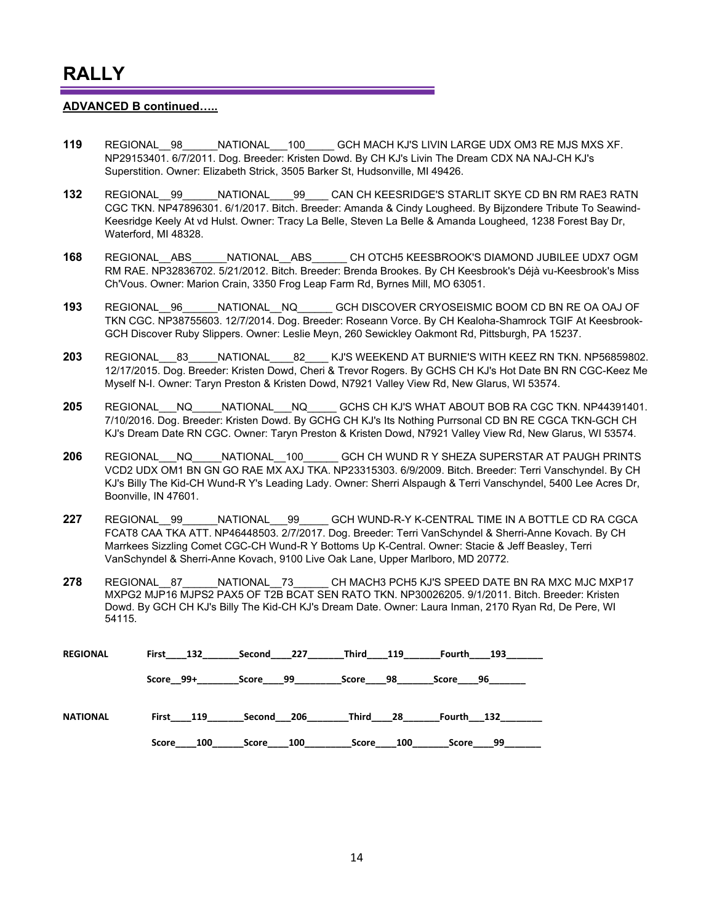#### **ADVANCED B continued…..**

- **119** REGIONAL\_\_98\_\_\_\_\_\_NATIONAL\_\_\_100\_\_\_\_\_ GCH MACH KJ'S LIVIN LARGE UDX OM3 RE MJS MXS XF. NP29153401. 6/7/2011. Dog. Breeder: Kristen Dowd. By CH KJ's Livin The Dream CDX NA NAJ-CH KJ's Superstition. Owner: Elizabeth Strick, 3505 Barker St, Hudsonville, MI 49426.
- **132** REGIONAL\_\_99\_\_\_\_\_\_NATIONAL\_\_\_\_99\_\_\_\_ CAN CH KEESRIDGE'S STARLIT SKYE CD BN RM RAE3 RATN CGC TKN. NP47896301. 6/1/2017. Bitch. Breeder: Amanda & Cindy Lougheed. By Bijzondere Tribute To Seawind-Keesridge Keely At vd Hulst. Owner: Tracy La Belle, Steven La Belle & Amanda Lougheed, 1238 Forest Bay Dr, Waterford, MI 48328.
- **168** REGIONAL\_\_ABS\_\_\_\_\_\_NATIONAL\_\_ABS\_\_\_\_\_\_ CH OTCH5 KEESBROOK'S DIAMOND JUBILEE UDX7 OGM RM RAE. NP32836702. 5/21/2012. Bitch. Breeder: Brenda Brookes. By CH Keesbrook's Déjà vu-Keesbrook's Miss Ch'Vous. Owner: Marion Crain, 3350 Frog Leap Farm Rd, Byrnes Mill, MO 63051.
- **193** REGIONAL\_\_96\_\_\_\_\_\_NATIONAL\_\_NQ\_\_\_\_\_\_ GCH DISCOVER CRYOSEISMIC BOOM CD BN RE OA OAJ OF TKN CGC. NP38755603. 12/7/2014. Dog. Breeder: Roseann Vorce. By CH Kealoha-Shamrock TGIF At Keesbrook-GCH Discover Ruby Slippers. Owner: Leslie Meyn, 260 Sewickley Oakmont Rd, Pittsburgh, PA 15237.
- **203** REGIONAL\_\_\_83\_\_\_\_\_NATIONAL\_\_\_\_82\_\_\_\_ KJ'S WEEKEND AT BURNIE'S WITH KEEZ RN TKN. NP56859802. 12/17/2015. Dog. Breeder: Kristen Dowd, Cheri & Trevor Rogers. By GCHS CH KJ's Hot Date BN RN CGC-Keez Me Myself N-I. Owner: Taryn Preston & Kristen Dowd, N7921 Valley View Rd, New Glarus, WI 53574.
- **205** REGIONAL\_\_\_NQ\_\_\_\_\_NATIONAL\_\_\_NQ\_\_\_\_\_ GCHS CH KJ'S WHAT ABOUT BOB RA CGC TKN. NP44391401. 7/10/2016. Dog. Breeder: Kristen Dowd. By GCHG CH KJ's Its Nothing Purrsonal CD BN RE CGCA TKN-GCH CH KJ's Dream Date RN CGC. Owner: Taryn Preston & Kristen Dowd, N7921 Valley View Rd, New Glarus, WI 53574.
- **206** REGIONAL\_\_\_NQ\_\_\_\_\_NATIONAL\_\_100\_\_\_\_\_\_ GCH CH WUND R Y SHEZA SUPERSTAR AT PAUGH PRINTS VCD2 UDX OM1 BN GN GO RAE MX AXJ TKA. NP23315303. 6/9/2009. Bitch. Breeder: Terri Vanschyndel. By CH KJ's Billy The Kid-CH Wund-R Y's Leading Lady. Owner: Sherri Alspaugh & Terri Vanschyndel, 5400 Lee Acres Dr, Boonville, IN 47601.
- **227** REGIONAL\_\_99\_\_\_\_\_\_NATIONAL\_\_\_99\_\_\_\_\_ GCH WUND-R-Y K-CENTRAL TIME IN A BOTTLE CD RA CGCA FCAT8 CAA TKA ATT. NP46448503. 2/7/2017. Dog. Breeder: Terri VanSchyndel & Sherri-Anne Kovach. By CH Marrkees Sizzling Comet CGC-CH Wund-R Y Bottoms Up K-Central. Owner: Stacie & Jeff Beasley, Terri VanSchyndel & Sherri-Anne Kovach, 9100 Live Oak Lane, Upper Marlboro, MD 20772.
- **278** REGIONAL 87 NATIONAL 73 CH MACH3 PCH5 KJ'S SPEED DATE BN RA MXC MJC MXP17 MXPG2 MJP16 MJPS2 PAX5 OF T2B BCAT SEN RATO TKN. NP30026205. 9/1/2011. Bitch. Breeder: Kristen Dowd. By GCH CH KJ's Billy The Kid-CH KJ's Dream Date. Owner: Laura Inman, 2170 Ryan Rd, De Pere, WI 54115.

| <b>REGIONAL</b> | First 132    | Second 227   | Third 119    | 193<br>Fourth |
|-----------------|--------------|--------------|--------------|---------------|
|                 | Score 99+    | Score 99     | 98<br>Score  | Score 96      |
| <b>NATIONAL</b> | First 119    | Second 206   | Third<br>-28 | Fourth 132    |
|                 | Score<br>100 | 100<br>Score | Score 100    | 99<br>Score   |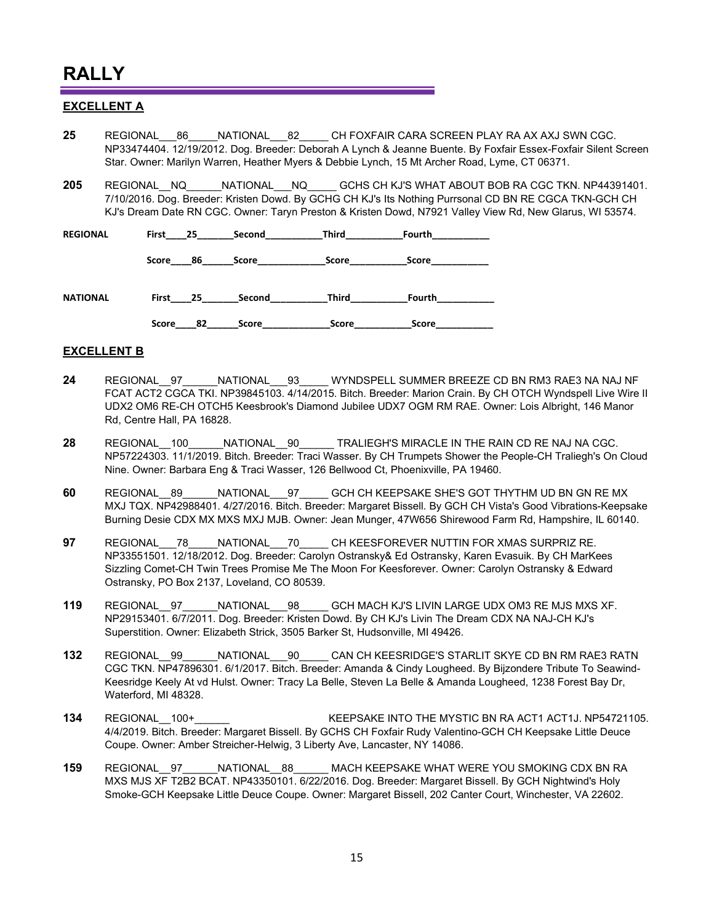#### **EXCELLENT A**

- 25 REGIONAL 86 NATIONAL 82 CH FOXFAIR CARA SCREEN PLAY RA AX AXJ SWN CGC. NP33474404. 12/19/2012. Dog. Breeder: Deborah A Lynch & Jeanne Buente. By Foxfair Essex-Foxfair Silent Screen Star. Owner: Marilyn Warren, Heather Myers & Debbie Lynch, 15 Mt Archer Road, Lyme, CT 06371.
- **205** REGIONAL\_\_NQ\_\_\_\_\_\_NATIONAL\_\_\_NQ\_\_\_\_\_ GCHS CH KJ'S WHAT ABOUT BOB RA CGC TKN. NP44391401. 7/10/2016. Dog. Breeder: Kristen Dowd. By GCHG CH KJ's Its Nothing Purrsonal CD BN RE CGCA TKN-GCH CH KJ's Dream Date RN CGC. Owner: Taryn Preston & Kristen Dowd, N7921 Valley View Rd, New Glarus, WI 53574.

| <b>REGIONAL</b> | First<br>25 | Second       | <b>Third</b> | Fourth |  |
|-----------------|-------------|--------------|--------------|--------|--|
|                 | Score<br>86 | Score        | Score        | Score  |  |
| <b>NATIONAL</b> | First<br>25 | Second       | Third        | Fourth |  |
|                 | Score<br>82 | <b>Score</b> | Score        | Score  |  |

#### **EXCELLENT B**

- **24** REGIONAL\_\_97\_\_\_\_\_\_NATIONAL\_\_\_93\_\_\_\_\_ WYNDSPELL SUMMER BREEZE CD BN RM3 RAE3 NA NAJ NF FCAT ACT2 CGCA TKI. NP39845103. 4/14/2015. Bitch. Breeder: Marion Crain. By CH OTCH Wyndspell Live Wire II UDX2 OM6 RE-CH OTCH5 Keesbrook's Diamond Jubilee UDX7 OGM RM RAE. Owner: Lois Albright, 146 Manor Rd, Centre Hall, PA 16828.
- **28** REGIONAL\_\_100\_\_\_\_\_\_NATIONAL\_\_90\_\_\_\_\_\_ TRALIEGH'S MIRACLE IN THE RAIN CD RE NAJ NA CGC. NP57224303. 11/1/2019. Bitch. Breeder: Traci Wasser. By CH Trumpets Shower the People-CH Traliegh's On Cloud Nine. Owner: Barbara Eng & Traci Wasser, 126 Bellwood Ct, Phoenixville, PA 19460.
- **60** REGIONAL\_\_89\_\_\_\_\_\_NATIONAL\_\_\_97\_\_\_\_\_ GCH CH KEEPSAKE SHE'S GOT THYTHM UD BN GN RE MX MXJ TQX. NP42988401. 4/27/2016. Bitch. Breeder: Margaret Bissell. By GCH CH Vista's Good Vibrations-Keepsake Burning Desie CDX MX MXS MXJ MJB. Owner: Jean Munger, 47W656 Shirewood Farm Rd, Hampshire, IL 60140.
- **97** REGIONAL\_\_\_78\_\_\_\_\_NATIONAL\_\_\_70\_\_\_\_\_ CH KEESFOREVER NUTTIN FOR XMAS SURPRIZ RE. NP33551501. 12/18/2012. Dog. Breeder: Carolyn Ostransky& Ed Ostransky, Karen Evasuik. By CH MarKees Sizzling Comet-CH Twin Trees Promise Me The Moon For Keesforever. Owner: Carolyn Ostransky & Edward Ostransky, PO Box 2137, Loveland, CO 80539.
- **119** REGIONAL\_\_97\_\_\_\_\_\_NATIONAL\_\_\_98\_\_\_\_\_ GCH MACH KJ'S LIVIN LARGE UDX OM3 RE MJS MXS XF. NP29153401. 6/7/2011. Dog. Breeder: Kristen Dowd. By CH KJ's Livin The Dream CDX NA NAJ-CH KJ's Superstition. Owner: Elizabeth Strick, 3505 Barker St, Hudsonville, MI 49426.
- **132** REGIONAL\_\_99\_\_\_\_\_\_NATIONAL\_\_\_90\_\_\_\_\_ CAN CH KEESRIDGE'S STARLIT SKYE CD BN RM RAE3 RATN CGC TKN. NP47896301. 6/1/2017. Bitch. Breeder: Amanda & Cindy Lougheed. By Bijzondere Tribute To Seawind-Keesridge Keely At vd Hulst. Owner: Tracy La Belle, Steven La Belle & Amanda Lougheed, 1238 Forest Bay Dr, Waterford, MI 48328.
- **134** REGIONAL 100+ **NATIONAL ACCORDINATION ACCORDINAL REGIONAL REGIONAL 100+ REGIONAL** 4/4/2019. Bitch. Breeder: Margaret Bissell. By GCHS CH Foxfair Rudy Valentino-GCH CH Keepsake Little Deuce Coupe. Owner: Amber Streicher-Helwig, 3 Liberty Ave, Lancaster, NY 14086.
- **159** REGIONAL\_\_97\_\_\_\_\_\_NATIONAL\_\_88\_\_\_\_\_\_ MACH KEEPSAKE WHAT WERE YOU SMOKING CDX BN RA MXS MJS XF T2B2 BCAT. NP43350101. 6/22/2016. Dog. Breeder: Margaret Bissell. By GCH Nightwind's Holy Smoke-GCH Keepsake Little Deuce Coupe. Owner: Margaret Bissell, 202 Canter Court, Winchester, VA 22602.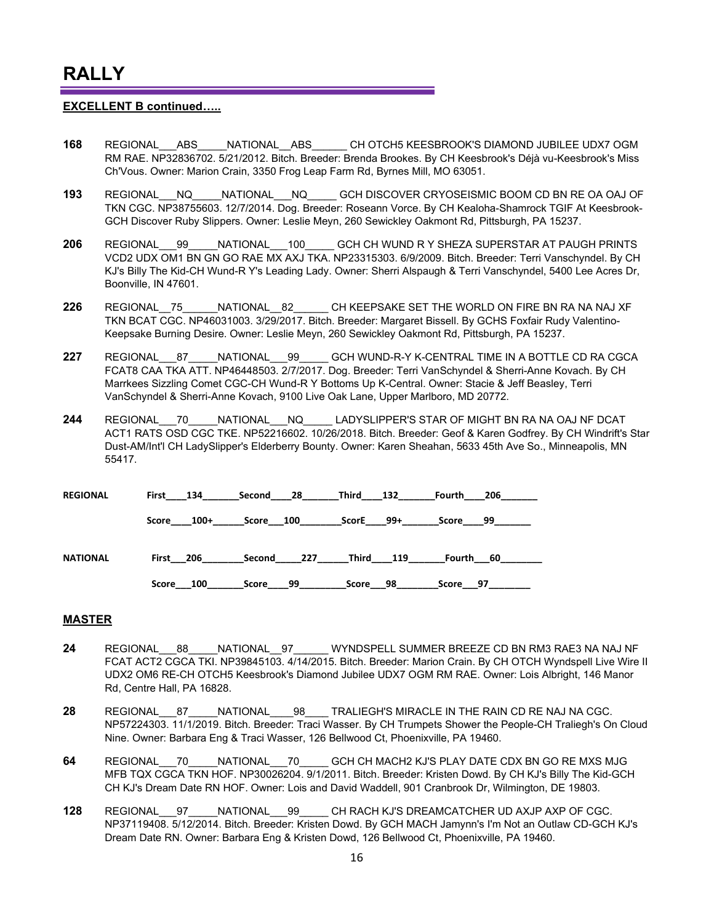#### **EXCELLENT B continued…..**

- **168** REGIONAL\_\_\_ABS\_\_\_\_\_NATIONAL\_\_ABS\_\_\_\_\_\_ CH OTCH5 KEESBROOK'S DIAMOND JUBILEE UDX7 OGM RM RAE. NP32836702. 5/21/2012. Bitch. Breeder: Brenda Brookes. By CH Keesbrook's Déjà vu-Keesbrook's Miss Ch'Vous. Owner: Marion Crain, 3350 Frog Leap Farm Rd, Byrnes Mill, MO 63051.
- **193** REGIONAL\_\_\_NQ\_\_\_\_\_NATIONAL\_\_\_NQ\_\_\_\_\_ GCH DISCOVER CRYOSEISMIC BOOM CD BN RE OA OAJ OF TKN CGC. NP38755603. 12/7/2014. Dog. Breeder: Roseann Vorce. By CH Kealoha-Shamrock TGIF At Keesbrook-GCH Discover Ruby Slippers. Owner: Leslie Meyn, 260 Sewickley Oakmont Rd, Pittsburgh, PA 15237.
- **206** REGIONAL\_\_\_99\_\_\_\_\_NATIONAL\_\_\_100\_\_\_\_\_ GCH CH WUND R Y SHEZA SUPERSTAR AT PAUGH PRINTS VCD2 UDX OM1 BN GN GO RAE MX AXJ TKA. NP23315303. 6/9/2009. Bitch. Breeder: Terri Vanschyndel. By CH KJ's Billy The Kid-CH Wund-R Y's Leading Lady. Owner: Sherri Alspaugh & Terri Vanschyndel, 5400 Lee Acres Dr, Boonville, IN 47601.
- **226** REGIONAL\_\_75\_\_\_\_\_\_NATIONAL\_\_82\_\_\_\_\_\_ CH KEEPSAKE SET THE WORLD ON FIRE BN RA NA NAJ XF TKN BCAT CGC. NP46031003. 3/29/2017. Bitch. Breeder: Margaret Bissell. By GCHS Foxfair Rudy Valentino-Keepsake Burning Desire. Owner: Leslie Meyn, 260 Sewickley Oakmont Rd, Pittsburgh, PA 15237.
- **227** REGIONAL\_\_\_87\_\_\_\_\_NATIONAL\_\_\_99\_\_\_\_\_ GCH WUND-R-Y K-CENTRAL TIME IN A BOTTLE CD RA CGCA FCAT8 CAA TKA ATT. NP46448503. 2/7/2017. Dog. Breeder: Terri VanSchyndel & Sherri-Anne Kovach. By CH Marrkees Sizzling Comet CGC-CH Wund-R Y Bottoms Up K-Central. Owner: Stacie & Jeff Beasley, Terri VanSchyndel & Sherri-Anne Kovach, 9100 Live Oak Lane, Upper Marlboro, MD 20772.
- **244** REGIONAL\_\_\_70\_\_\_\_\_NATIONAL\_\_\_NQ\_\_\_\_\_ LADYSLIPPER'S STAR OF MIGHT BN RA NA OAJ NF DCAT ACT1 RATS OSD CGC TKE. NP52216602. 10/26/2018. Bitch. Breeder: Geof & Karen Godfrey. By CH Windrift's Star Dust-AM/Int'l CH LadySlipper's Elderberry Bounty. Owner: Karen Sheahan, 5633 45th Ave So., Minneapolis, MN 55417.

| <b>REGIONAL</b> | First           | 28            | Third        | 206         |
|-----------------|-----------------|---------------|--------------|-------------|
|                 | 134             | Second        | 132          | Fourth      |
|                 | $100+$<br>Score | Score 100     | 99+<br>ScorE | 99<br>Score |
| <b>NATIONAL</b> | First 206       | 227<br>Second | Third<br>119 | Fourth 60   |
|                 | 100             | 99            | 98           | 97          |
|                 | Score           | Score         | Score        | Score       |

#### **MASTER**

- **24** REGIONAL\_\_\_88\_\_\_\_\_NATIONAL\_\_97\_\_\_\_\_\_ WYNDSPELL SUMMER BREEZE CD BN RM3 RAE3 NA NAJ NF FCAT ACT2 CGCA TKI. NP39845103. 4/14/2015. Bitch. Breeder: Marion Crain. By CH OTCH Wyndspell Live Wire II UDX2 OM6 RE-CH OTCH5 Keesbrook's Diamond Jubilee UDX7 OGM RM RAE. Owner: Lois Albright, 146 Manor Rd, Centre Hall, PA 16828.
- **28** REGIONAL 87 NATIONAL 98 TRALIEGH'S MIRACLE IN THE RAIN CD RE NAJ NA CGC. NP57224303. 11/1/2019. Bitch. Breeder: Traci Wasser. By CH Trumpets Shower the People-CH Traliegh's On Cloud Nine. Owner: Barbara Eng & Traci Wasser, 126 Bellwood Ct, Phoenixville, PA 19460.
- **64** REGIONAL\_\_\_70\_\_\_\_\_NATIONAL\_\_\_70\_\_\_\_\_ GCH CH MACH2 KJ'S PLAY DATE CDX BN GO RE MXS MJG MFB TQX CGCA TKN HOF. NP30026204. 9/1/2011. Bitch. Breeder: Kristen Dowd. By CH KJ's Billy The Kid-GCH CH KJ's Dream Date RN HOF. Owner: Lois and David Waddell, 901 Cranbrook Dr, Wilmington, DE 19803.
- **128** REGIONAL\_\_\_97\_\_\_\_\_NATIONAL\_\_\_99\_\_\_\_\_ CH RACH KJ'S DREAMCATCHER UD AXJP AXP OF CGC. NP37119408. 5/12/2014. Bitch. Breeder: Kristen Dowd. By GCH MACH Jamynn's I'm Not an Outlaw CD-GCH KJ's Dream Date RN. Owner: Barbara Eng & Kristen Dowd, 126 Bellwood Ct, Phoenixville, PA 19460.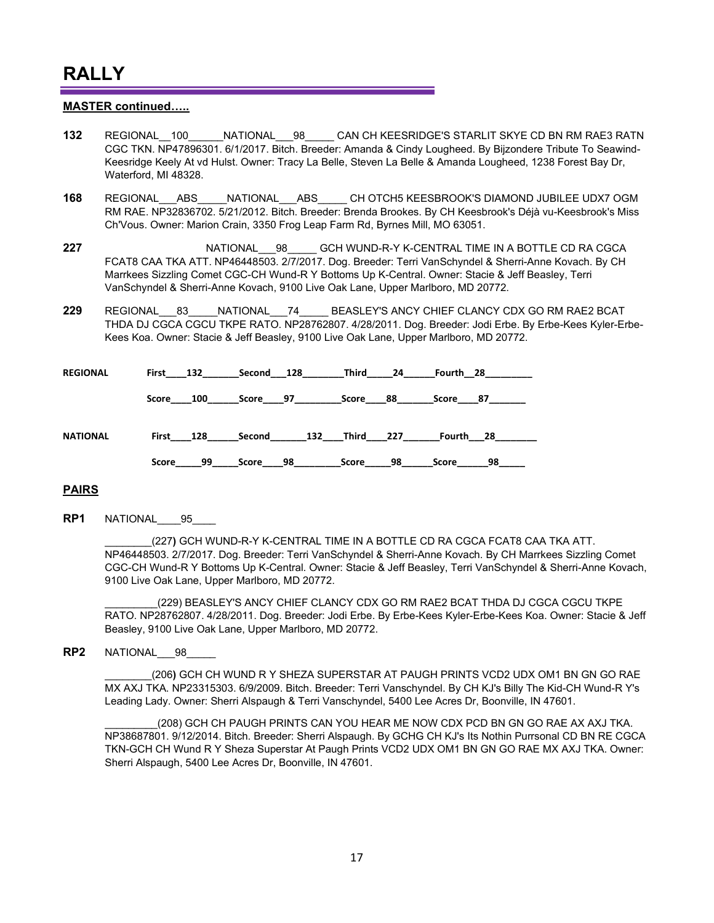#### **MASTER continued…..**

- **132** REGIONAL\_\_100\_\_\_\_\_\_NATIONAL\_\_\_98\_\_\_\_\_ CAN CH KEESRIDGE'S STARLIT SKYE CD BN RM RAE3 RATN CGC TKN. NP47896301. 6/1/2017. Bitch. Breeder: Amanda & Cindy Lougheed. By Bijzondere Tribute To Seawind-Keesridge Keely At vd Hulst. Owner: Tracy La Belle, Steven La Belle & Amanda Lougheed, 1238 Forest Bay Dr, Waterford, MI 48328.
- **168** REGIONAL\_\_\_ABS\_\_\_\_\_NATIONAL\_\_\_ABS\_\_\_\_\_ CH OTCH5 KEESBROOK'S DIAMOND JUBILEE UDX7 OGM RM RAE. NP32836702. 5/21/2012. Bitch. Breeder: Brenda Brookes. By CH Keesbrook's Déjà vu-Keesbrook's Miss Ch'Vous. Owner: Marion Crain, 3350 Frog Leap Farm Rd, Byrnes Mill, MO 63051.
- **227** REGIONAL 98 GCH WUND-R-Y K-CENTRAL TIME IN A BOTTLE CD RA CGCA FCAT8 CAA TKA ATT. NP46448503. 2/7/2017. Dog. Breeder: Terri VanSchyndel & Sherri-Anne Kovach. By CH Marrkees Sizzling Comet CGC-CH Wund-R Y Bottoms Up K-Central. Owner: Stacie & Jeff Beasley, Terri VanSchyndel & Sherri-Anne Kovach, 9100 Live Oak Lane, Upper Marlboro, MD 20772.
- **229** REGIONAL\_\_\_83\_\_\_\_\_NATIONAL\_\_\_74\_\_\_\_\_ BEASLEY'S ANCY CHIEF CLANCY CDX GO RM RAE2 BCAT THDA DJ CGCA CGCU TKPE RATO. NP28762807. 4/28/2011. Dog. Breeder: Jodi Erbe. By Erbe-Kees Kyler-Erbe-Kees Koa. Owner: Stacie & Jeff Beasley, 9100 Live Oak Lane, Upper Marlboro, MD 20772.

| <b>REGIONAL</b> |           | First 132 |          | Second 128 | Third         | - 24 | Fourth 28 |    |
|-----------------|-----------|-----------|----------|------------|---------------|------|-----------|----|
|                 | Score 100 |           | Score 97 |            | Score         | 88   | Score 87  |    |
| <b>NATIONAL</b> |           | First 128 | Second   |            | 132 Third 227 |      | Fourth 28 |    |
|                 | Score     | 99        | Score 98 |            | Score         | 98   | Score     | 98 |

#### **PAIRS**

**RP1** NATIONAL\_\_\_\_95\_\_\_\_

\_\_\_\_\_\_\_\_(227**)** GCH WUND-R-Y K-CENTRAL TIME IN A BOTTLE CD RA CGCA FCAT8 CAA TKA ATT. NP46448503. 2/7/2017. Dog. Breeder: Terri VanSchyndel & Sherri-Anne Kovach. By CH Marrkees Sizzling Comet CGC-CH Wund-R Y Bottoms Up K-Central. Owner: Stacie & Jeff Beasley, Terri VanSchyndel & Sherri-Anne Kovach, 9100 Live Oak Lane, Upper Marlboro, MD 20772.

(229) BEASLEY'S ANCY CHIEF CLANCY CDX GO RM RAE2 BCAT THDA DJ CGCA CGCU TKPE RATO. NP28762807. 4/28/2011. Dog. Breeder: Jodi Erbe. By Erbe-Kees Kyler-Erbe-Kees Koa. Owner: Stacie & Jeff Beasley, 9100 Live Oak Lane, Upper Marlboro, MD 20772.

#### **RP2** NATIONAL\_\_\_98\_\_\_\_\_

\_\_\_\_\_\_\_\_(206**)** GCH CH WUND R Y SHEZA SUPERSTAR AT PAUGH PRINTS VCD2 UDX OM1 BN GN GO RAE MX AXJ TKA. NP23315303. 6/9/2009. Bitch. Breeder: Terri Vanschyndel. By CH KJ's Billy The Kid-CH Wund-R Y's Leading Lady. Owner: Sherri Alspaugh & Terri Vanschyndel, 5400 Lee Acres Dr, Boonville, IN 47601.

(208) GCH CH PAUGH PRINTS CAN YOU HEAR ME NOW CDX PCD BN GN GO RAE AX AXJ TKA. NP38687801. 9/12/2014. Bitch. Breeder: Sherri Alspaugh. By GCHG CH KJ's Its Nothin Purrsonal CD BN RE CGCA TKN-GCH CH Wund R Y Sheza Superstar At Paugh Prints VCD2 UDX OM1 BN GN GO RAE MX AXJ TKA. Owner: Sherri Alspaugh, 5400 Lee Acres Dr, Boonville, IN 47601.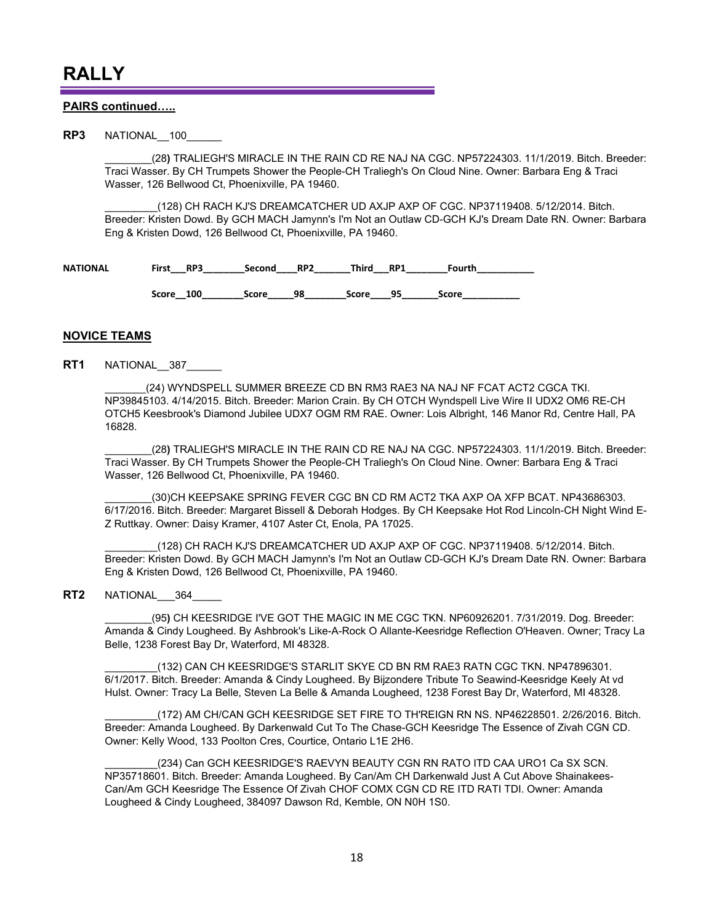#### **PAIRS continued…..**

**RP3** NATIONAL 100

\_\_\_\_\_\_\_\_(28**)** TRALIEGH'S MIRACLE IN THE RAIN CD RE NAJ NA CGC. NP57224303. 11/1/2019. Bitch. Breeder: Traci Wasser. By CH Trumpets Shower the People-CH Traliegh's On Cloud Nine. Owner: Barbara Eng & Traci Wasser, 126 Bellwood Ct, Phoenixville, PA 19460.

\_\_\_\_\_\_\_\_\_(128) CH RACH KJ'S DREAMCATCHER UD AXJP AXP OF CGC. NP37119408. 5/12/2014. Bitch. Breeder: Kristen Dowd. By GCH MACH Jamynn's I'm Not an Outlaw CD-GCH KJ's Dream Date RN. Owner: Barbara Eng & Kristen Dowd, 126 Bellwood Ct, Phoenixville, PA 19460.

| <b>NATIONAL</b> | <b>First</b> | Second | RP2 | Thira | RP <sub>1</sub> | ัดurth ิ |
|-----------------|--------------|--------|-----|-------|-----------------|----------|
|                 |              |        |     |       |                 |          |

Score 100 Score 98 Score 95 Score

#### **NOVICE TEAMS**

**RT1** NATIONAL\_\_387\_\_\_\_\_\_

(24) WYNDSPELL SUMMER BREEZE CD BN RM3 RAE3 NA NAJ NF FCAT ACT2 CGCA TKI. NP39845103. 4/14/2015. Bitch. Breeder: Marion Crain. By CH OTCH Wyndspell Live Wire II UDX2 OM6 RE-CH OTCH5 Keesbrook's Diamond Jubilee UDX7 OGM RM RAE. Owner: Lois Albright, 146 Manor Rd, Centre Hall, PA 16828.

\_\_\_\_\_\_\_\_(28**)** TRALIEGH'S MIRACLE IN THE RAIN CD RE NAJ NA CGC. NP57224303. 11/1/2019. Bitch. Breeder: Traci Wasser. By CH Trumpets Shower the People-CH Traliegh's On Cloud Nine. Owner: Barbara Eng & Traci Wasser, 126 Bellwood Ct, Phoenixville, PA 19460.

(30)CH KEEPSAKE SPRING FEVER CGC BN CD RM ACT2 TKA AXP OA XFP BCAT. NP43686303. 6/17/2016. Bitch. Breeder: Margaret Bissell & Deborah Hodges. By CH Keepsake Hot Rod Lincoln-CH Night Wind E-Z Ruttkay. Owner: Daisy Kramer, 4107 Aster Ct, Enola, PA 17025.

\_\_\_\_\_\_\_\_\_(128) CH RACH KJ'S DREAMCATCHER UD AXJP AXP OF CGC. NP37119408. 5/12/2014. Bitch. Breeder: Kristen Dowd. By GCH MACH Jamynn's I'm Not an Outlaw CD-GCH KJ's Dream Date RN. Owner: Barbara Eng & Kristen Dowd, 126 Bellwood Ct, Phoenixville, PA 19460.

**RT2** NATIONAL 364

\_\_\_\_\_\_\_\_(95**)** CH KEESRIDGE I'VE GOT THE MAGIC IN ME CGC TKN. NP60926201. 7/31/2019. Dog. Breeder: Amanda & Cindy Lougheed. By Ashbrook's Like-A-Rock O Allante-Keesridge Reflection O'Heaven. Owner; Tracy La Belle, 1238 Forest Bay Dr, Waterford, MI 48328.

\_\_\_\_\_\_\_\_\_(132) CAN CH KEESRIDGE'S STARLIT SKYE CD BN RM RAE3 RATN CGC TKN. NP47896301. 6/1/2017. Bitch. Breeder: Amanda & Cindy Lougheed. By Bijzondere Tribute To Seawind-Keesridge Keely At vd Hulst. Owner: Tracy La Belle, Steven La Belle & Amanda Lougheed, 1238 Forest Bay Dr, Waterford, MI 48328.

\_\_\_\_\_\_\_\_\_(172) AM CH/CAN GCH KEESRIDGE SET FIRE TO TH'REIGN RN NS. NP46228501. 2/26/2016. Bitch. Breeder: Amanda Lougheed. By Darkenwald Cut To The Chase-GCH Keesridge The Essence of Zivah CGN CD. Owner: Kelly Wood, 133 Poolton Cres, Courtice, Ontario L1E 2H6.

(234) Can GCH KEESRIDGE'S RAEVYN BEAUTY CGN RN RATO ITD CAA URO1 Ca SX SCN. NP35718601. Bitch. Breeder: Amanda Lougheed. By Can/Am CH Darkenwald Just A Cut Above Shainakees-Can/Am GCH Keesridge The Essence Of Zivah CHOF COMX CGN CD RE ITD RATI TDI. Owner: Amanda Lougheed & Cindy Lougheed, 384097 Dawson Rd, Kemble, ON N0H 1S0.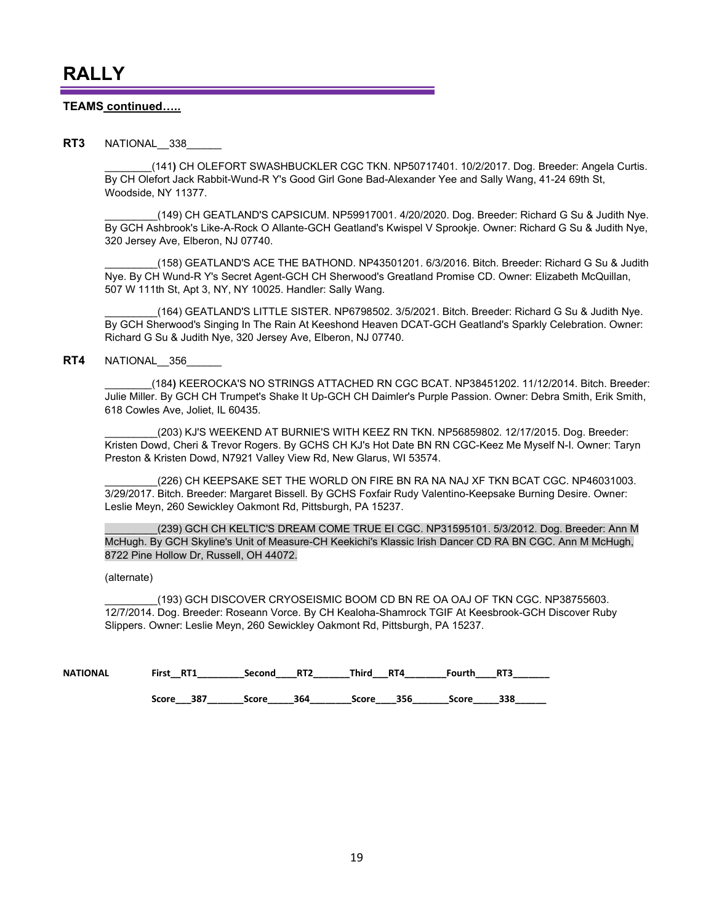#### **TEAMS continued…..**

#### **RT3** NATIONAL 338

\_\_\_\_\_\_\_\_(141**)** CH OLEFORT SWASHBUCKLER CGC TKN. NP50717401. 10/2/2017. Dog. Breeder: Angela Curtis. By CH Olefort Jack Rabbit-Wund-R Y's Good Girl Gone Bad-Alexander Yee and Sally Wang, 41-24 69th St, Woodside, NY 11377.

\_\_\_\_\_\_\_\_\_(149) CH GEATLAND'S CAPSICUM. NP59917001. 4/20/2020. Dog. Breeder: Richard G Su & Judith Nye. By GCH Ashbrook's Like-A-Rock O Allante-GCH Geatland's Kwispel V Sprookje. Owner: Richard G Su & Judith Nye, 320 Jersey Ave, Elberon, NJ 07740.

\_\_\_\_\_\_\_\_\_(158) GEATLAND'S ACE THE BATHOND. NP43501201. 6/3/2016. Bitch. Breeder: Richard G Su & Judith Nye. By CH Wund-R Y's Secret Agent-GCH CH Sherwood's Greatland Promise CD. Owner: Elizabeth McQuillan, 507 W 111th St, Apt 3, NY, NY 10025. Handler: Sally Wang.

\_\_\_\_\_\_\_\_\_(164) GEATLAND'S LITTLE SISTER. NP6798502. 3/5/2021. Bitch. Breeder: Richard G Su & Judith Nye. By GCH Sherwood's Singing In The Rain At Keeshond Heaven DCAT-GCH Geatland's Sparkly Celebration. Owner: Richard G Su & Judith Nye, 320 Jersey Ave, Elberon, NJ 07740.

#### **RT4** NATIONAL 356

\_\_\_\_\_\_\_\_(184**)** KEEROCKA'S NO STRINGS ATTACHED RN CGC BCAT. NP38451202. 11/12/2014. Bitch. Breeder: Julie Miller. By GCH CH Trumpet's Shake It Up-GCH CH Daimler's Purple Passion. Owner: Debra Smith, Erik Smith, 618 Cowles Ave, Joliet, IL 60435.

\_\_\_\_\_\_\_\_\_(203) KJ'S WEEKEND AT BURNIE'S WITH KEEZ RN TKN. NP56859802. 12/17/2015. Dog. Breeder: Kristen Dowd, Cheri & Trevor Rogers. By GCHS CH KJ's Hot Date BN RN CGC-Keez Me Myself N-I. Owner: Taryn Preston & Kristen Dowd, N7921 Valley View Rd, New Glarus, WI 53574.

(226) CH KEEPSAKE SET THE WORLD ON FIRE BN RA NA NAJ XF TKN BCAT CGC. NP46031003. 3/29/2017. Bitch. Breeder: Margaret Bissell. By GCHS Foxfair Rudy Valentino-Keepsake Burning Desire. Owner: Leslie Meyn, 260 Sewickley Oakmont Rd, Pittsburgh, PA 15237.

(239) GCH CH KELTIC'S DREAM COME TRUE EI CGC. NP31595101. 5/3/2012. Dog. Breeder: Ann M McHugh. By GCH Skyline's Unit of Measure-CH Keekichi's Klassic Irish Dancer CD RA BN CGC. Ann M McHugh, 8722 Pine Hollow Dr, Russell, OH 44072.

(alternate)

\_\_\_\_\_\_\_\_\_(193) GCH DISCOVER CRYOSEISMIC BOOM CD BN RE OA OAJ OF TKN CGC. NP38755603. 12/7/2014. Dog. Breeder: Roseann Vorce. By CH Kealoha-Shamrock TGIF At Keesbrook-GCH Discover Ruby Slippers. Owner: Leslie Meyn, 260 Sewickley Oakmont Rd, Pittsburgh, PA 15237.

| <b>NATIONAL</b> | First<br>RT1 | Second | RT <sub>2</sub> | Third | RT4 | Fourth | RT3 |
|-----------------|--------------|--------|-----------------|-------|-----|--------|-----|
|                 |              |        |                 |       |     |        |     |
|                 | 387<br>Score | Score  | 364             | Score | 356 | Score  | 338 |